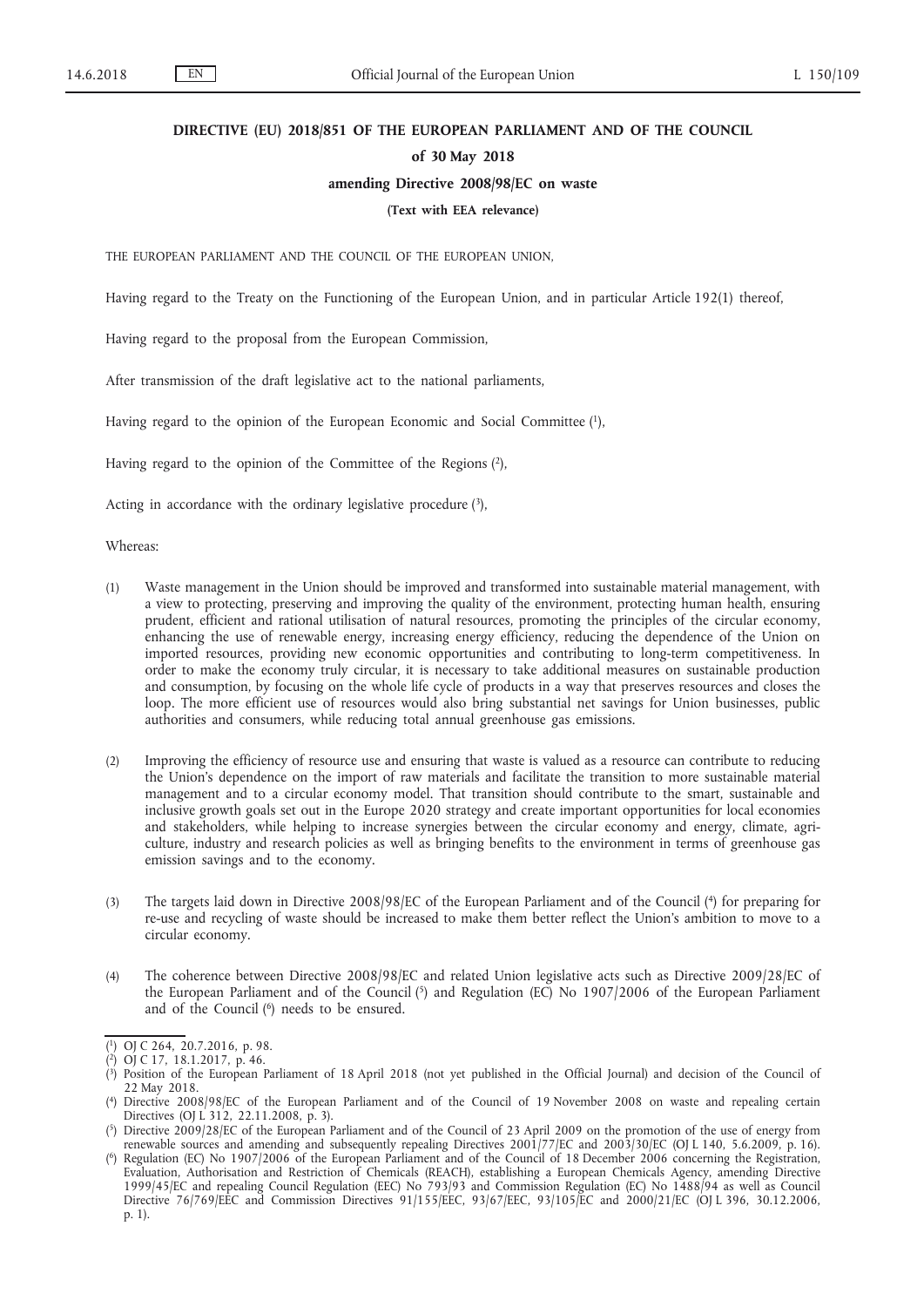#### **DIRECTIVE (EU) 2018/851 OF THE EUROPEAN PARLIAMENT AND OF THE COUNCIL**

#### **of 30 May 2018**

#### **amending Directive 2008/98/EC on waste**

#### **(Text with EEA relevance)**

THE EUROPEAN PARLIAMENT AND THE COUNCIL OF THE EUROPEAN UNION,

Having regard to the Treaty on the Functioning of the European Union, and in particular Article 192(1) thereof,

Having regard to the proposal from the European Commission,

After transmission of the draft legislative act to the national parliaments,

Having regard to the opinion of the European Economic and Social Committee (1),

Having regard to the opinion of the Committee of the Regions (2),

Acting in accordance with the ordinary legislative procedure  $(3)$ ,

Whereas:

- (1) Waste management in the Union should be improved and transformed into sustainable material management, with a view to protecting, preserving and improving the quality of the environment, protecting human health, ensuring prudent, efficient and rational utilisation of natural resources, promoting the principles of the circular economy, enhancing the use of renewable energy, increasing energy efficiency, reducing the dependence of the Union on imported resources, providing new economic opportunities and contributing to long-term competitiveness. In order to make the economy truly circular, it is necessary to take additional measures on sustainable production and consumption, by focusing on the whole life cycle of products in a way that preserves resources and closes the loop. The more efficient use of resources would also bring substantial net savings for Union businesses, public authorities and consumers, while reducing total annual greenhouse gas emissions.
- (2) Improving the efficiency of resource use and ensuring that waste is valued as a resource can contribute to reducing the Union's dependence on the import of raw materials and facilitate the transition to more sustainable material management and to a circular economy model. That transition should contribute to the smart, sustainable and inclusive growth goals set out in the Europe 2020 strategy and create important opportunities for local economies and stakeholders, while helping to increase synergies between the circular economy and energy, climate, agriculture, industry and research policies as well as bringing benefits to the environment in terms of greenhouse gas emission savings and to the economy.
- (3) The targets laid down in Directive 2008/98/EC of the European Parliament and of the Council (4) for preparing for re-use and recycling of waste should be increased to make them better reflect the Union's ambition to move to a circular economy.
- (4) The coherence between Directive 2008/98/EC and related Union legislative acts such as Directive 2009/28/EC of the European Parliament and of the Council (5) and Regulation (EC) No 1907/2006 of the European Parliament and of the Council (<sup>6</sup>) needs to be ensured.

<sup>(</sup> 1) OJ C 264, 20.7.2016, p. 98.

<sup>(</sup> 2) OJ C 17, 18.1.2017, p. 46.

<sup>(</sup> 3) Position of the European Parliament of 18 April 2018 (not yet published in the Official Journal) and decision of the Council of 22 May 2018.

<sup>(</sup> 4) Directive 2008/98/EC of the European Parliament and of the Council of 19 November 2008 on waste and repealing certain Directives (OJ L 312, 22.11.2008, p. 3).

<sup>(</sup> 5) Directive 2009/28/EC of the European Parliament and of the Council of 23 April 2009 on the promotion of the use of energy from renewable sources and amending and subsequently repealing Directives 2001/77/EC and 2003/30/EC (OJ L 140, 5.6.2009, p. 16).

<sup>(</sup> 6) Regulation (EC) No 1907/2006 of the European Parliament and of the Council of 18 December 2006 concerning the Registration, Evaluation, Authorisation and Restriction of Chemicals (REACH), establishing a European Chemicals Agency, amending Directive 1999/45/EC and repealing Council Regulation (EEC) No 793/93 and Commission Regulation (EC) No 1488/94 as well as Council Directive 76/769/EEC and Commission Directives 91/155/EEC, 93/67/EEC, 93/105/EC and 2000/21/EC (OJ L 396, 30.12.2006, p. 1).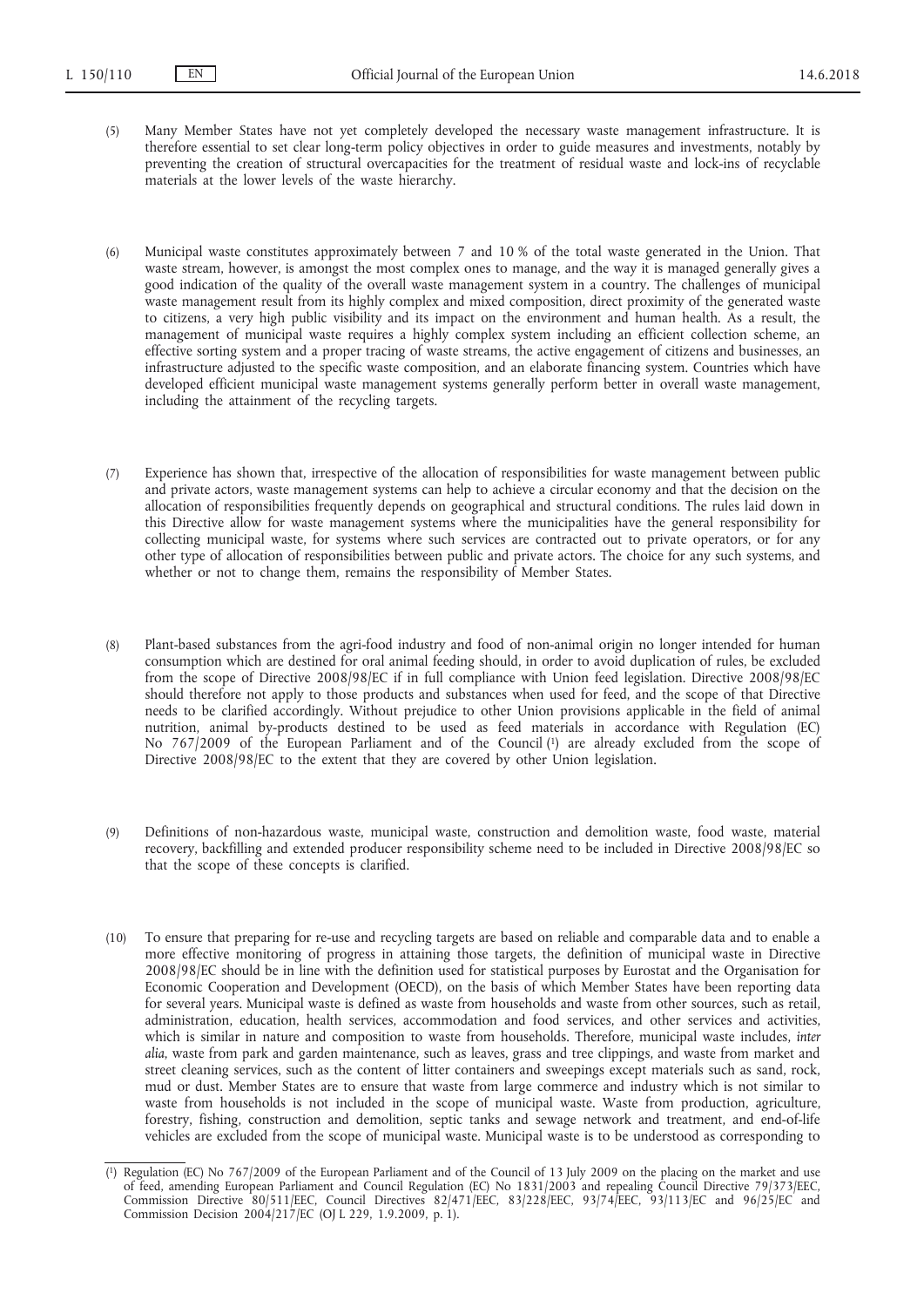- (5) Many Member States have not yet completely developed the necessary waste management infrastructure. It is therefore essential to set clear long-term policy objectives in order to guide measures and investments, notably by preventing the creation of structural overcapacities for the treatment of residual waste and lock-ins of recyclable materials at the lower levels of the waste hierarchy.
- (6) Municipal waste constitutes approximately between 7 and 10 % of the total waste generated in the Union. That waste stream, however, is amongst the most complex ones to manage, and the way it is managed generally gives a good indication of the quality of the overall waste management system in a country. The challenges of municipal waste management result from its highly complex and mixed composition, direct proximity of the generated waste to citizens, a very high public visibility and its impact on the environment and human health. As a result, the management of municipal waste requires a highly complex system including an efficient collection scheme, an effective sorting system and a proper tracing of waste streams, the active engagement of citizens and businesses, an infrastructure adjusted to the specific waste composition, and an elaborate financing system. Countries which have developed efficient municipal waste management systems generally perform better in overall waste management, including the attainment of the recycling targets.
- (7) Experience has shown that, irrespective of the allocation of responsibilities for waste management between public and private actors, waste management systems can help to achieve a circular economy and that the decision on the allocation of responsibilities frequently depends on geographical and structural conditions. The rules laid down in this Directive allow for waste management systems where the municipalities have the general responsibility for collecting municipal waste, for systems where such services are contracted out to private operators, or for any other type of allocation of responsibilities between public and private actors. The choice for any such systems, and whether or not to change them, remains the responsibility of Member States.
- (8) Plant-based substances from the agri-food industry and food of non-animal origin no longer intended for human consumption which are destined for oral animal feeding should, in order to avoid duplication of rules, be excluded from the scope of Directive 2008/98/EC if in full compliance with Union feed legislation. Directive 2008/98/EC should therefore not apply to those products and substances when used for feed, and the scope of that Directive needs to be clarified accordingly. Without prejudice to other Union provisions applicable in the field of animal nutrition, animal by-products destined to be used as feed materials in accordance with Regulation (EC) No 767/2009 of the European Parliament and of the Council (1) are already excluded from the scope of Directive 2008/98/EC to the extent that they are covered by other Union legislation.
- (9) Definitions of non-hazardous waste, municipal waste, construction and demolition waste, food waste, material recovery, backfilling and extended producer responsibility scheme need to be included in Directive 2008/98/EC so that the scope of these concepts is clarified.
- (10) To ensure that preparing for re-use and recycling targets are based on reliable and comparable data and to enable a more effective monitoring of progress in attaining those targets, the definition of municipal waste in Directive 2008/98/EC should be in line with the definition used for statistical purposes by Eurostat and the Organisation for Economic Cooperation and Development (OECD), on the basis of which Member States have been reporting data for several years. Municipal waste is defined as waste from households and waste from other sources, such as retail, administration, education, health services, accommodation and food services, and other services and activities, which is similar in nature and composition to waste from households. Therefore, municipal waste includes, *inter alia*, waste from park and garden maintenance, such as leaves, grass and tree clippings, and waste from market and street cleaning services, such as the content of litter containers and sweepings except materials such as sand, rock, mud or dust. Member States are to ensure that waste from large commerce and industry which is not similar to waste from households is not included in the scope of municipal waste. Waste from production, agriculture, forestry, fishing, construction and demolition, septic tanks and sewage network and treatment, and end-of-life vehicles are excluded from the scope of municipal waste. Municipal waste is to be understood as corresponding to

<sup>(</sup> 1) Regulation (EC) No 767/2009 of the European Parliament and of the Council of 13 July 2009 on the placing on the market and use of feed, amending European Parliament and Council Regulation (EC) No 1831/2003 and repealing Council Directive 79/373/EEC, Commission Directive 80/511/EEC, Council Directives 82/471/EEC, 83/228/EEC, 93/74/EEC, 93/113/EC and 96/25/EC and Commission Decision 2004/217/EC (OJ L 229, 1.9.2009, p. 1).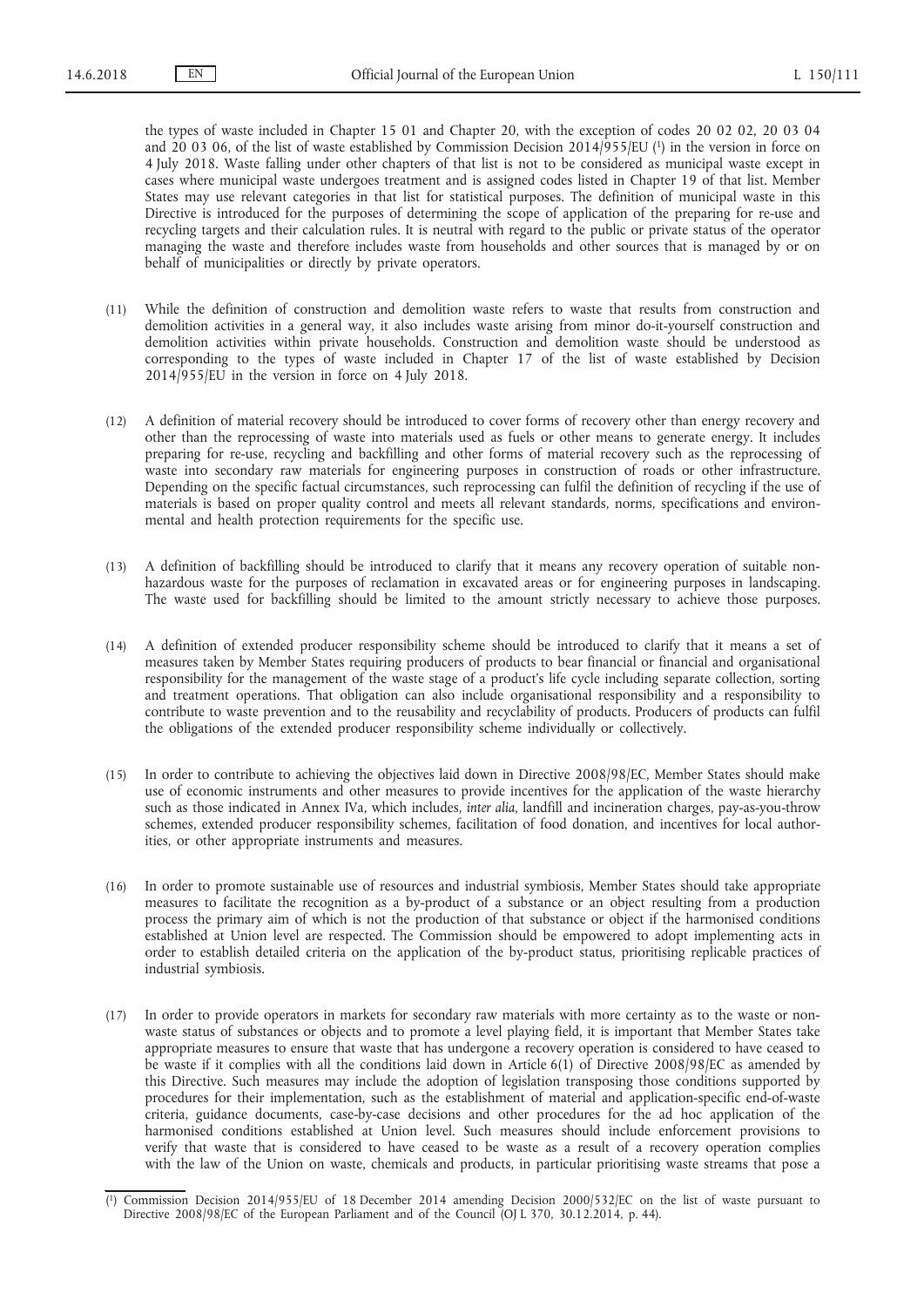the types of waste included in Chapter 15 01 and Chapter 20, with the exception of codes 20 02 02, 20 03 04 and 20 03 06, of the list of waste established by Commission Decision 2014/955/EU (1) in the version in force on 4 July 2018. Waste falling under other chapters of that list is not to be considered as municipal waste except in cases where municipal waste undergoes treatment and is assigned codes listed in Chapter 19 of that list. Member States may use relevant categories in that list for statistical purposes. The definition of municipal waste in this Directive is introduced for the purposes of determining the scope of application of the preparing for re-use and recycling targets and their calculation rules. It is neutral with regard to the public or private status of the operator managing the waste and therefore includes waste from households and other sources that is managed by or on behalf of municipalities or directly by private operators.

- (11) While the definition of construction and demolition waste refers to waste that results from construction and demolition activities in a general way, it also includes waste arising from minor do-it-yourself construction and demolition activities within private households. Construction and demolition waste should be understood as corresponding to the types of waste included in Chapter 17 of the list of waste established by Decision 2014/955/EU in the version in force on 4 July 2018.
- (12) A definition of material recovery should be introduced to cover forms of recovery other than energy recovery and other than the reprocessing of waste into materials used as fuels or other means to generate energy. It includes preparing for re-use, recycling and backfilling and other forms of material recovery such as the reprocessing of waste into secondary raw materials for engineering purposes in construction of roads or other infrastructure. Depending on the specific factual circumstances, such reprocessing can fulfil the definition of recycling if the use of materials is based on proper quality control and meets all relevant standards, norms, specifications and environmental and health protection requirements for the specific use.
- (13) A definition of backfilling should be introduced to clarify that it means any recovery operation of suitable nonhazardous waste for the purposes of reclamation in excavated areas or for engineering purposes in landscaping. The waste used for backfilling should be limited to the amount strictly necessary to achieve those purposes.
- (14) A definition of extended producer responsibility scheme should be introduced to clarify that it means a set of measures taken by Member States requiring producers of products to bear financial or financial and organisational responsibility for the management of the waste stage of a product's life cycle including separate collection, sorting and treatment operations. That obligation can also include organisational responsibility and a responsibility to contribute to waste prevention and to the reusability and recyclability of products. Producers of products can fulfil the obligations of the extended producer responsibility scheme individually or collectively.
- (15) In order to contribute to achieving the objectives laid down in Directive 2008/98/EC, Member States should make use of economic instruments and other measures to provide incentives for the application of the waste hierarchy such as those indicated in Annex IVa, which includes, *inter alia*, landfill and incineration charges, pay-as-you-throw schemes, extended producer responsibility schemes, facilitation of food donation, and incentives for local authorities, or other appropriate instruments and measures.
- (16) In order to promote sustainable use of resources and industrial symbiosis, Member States should take appropriate measures to facilitate the recognition as a by-product of a substance or an object resulting from a production process the primary aim of which is not the production of that substance or object if the harmonised conditions established at Union level are respected. The Commission should be empowered to adopt implementing acts in order to establish detailed criteria on the application of the by-product status, prioritising replicable practices of industrial symbiosis.
- (17) In order to provide operators in markets for secondary raw materials with more certainty as to the waste or nonwaste status of substances or objects and to promote a level playing field, it is important that Member States take appropriate measures to ensure that waste that has undergone a recovery operation is considered to have ceased to be waste if it complies with all the conditions laid down in Article 6(1) of Directive 2008/98/EC as amended by this Directive. Such measures may include the adoption of legislation transposing those conditions supported by procedures for their implementation, such as the establishment of material and application-specific end-of-waste criteria, guidance documents, case-by-case decisions and other procedures for the ad hoc application of the harmonised conditions established at Union level. Such measures should include enforcement provisions to verify that waste that is considered to have ceased to be waste as a result of a recovery operation complies with the law of the Union on waste, chemicals and products, in particular prioritising waste streams that pose a

<sup>(</sup> 1) Commission Decision 2014/955/EU of 18 December 2014 amending Decision 2000/532/EC on the list of waste pursuant to Directive 2008/98/EC of the European Parliament and of the Council (OJ L 370, 30.12.2014, p. 44).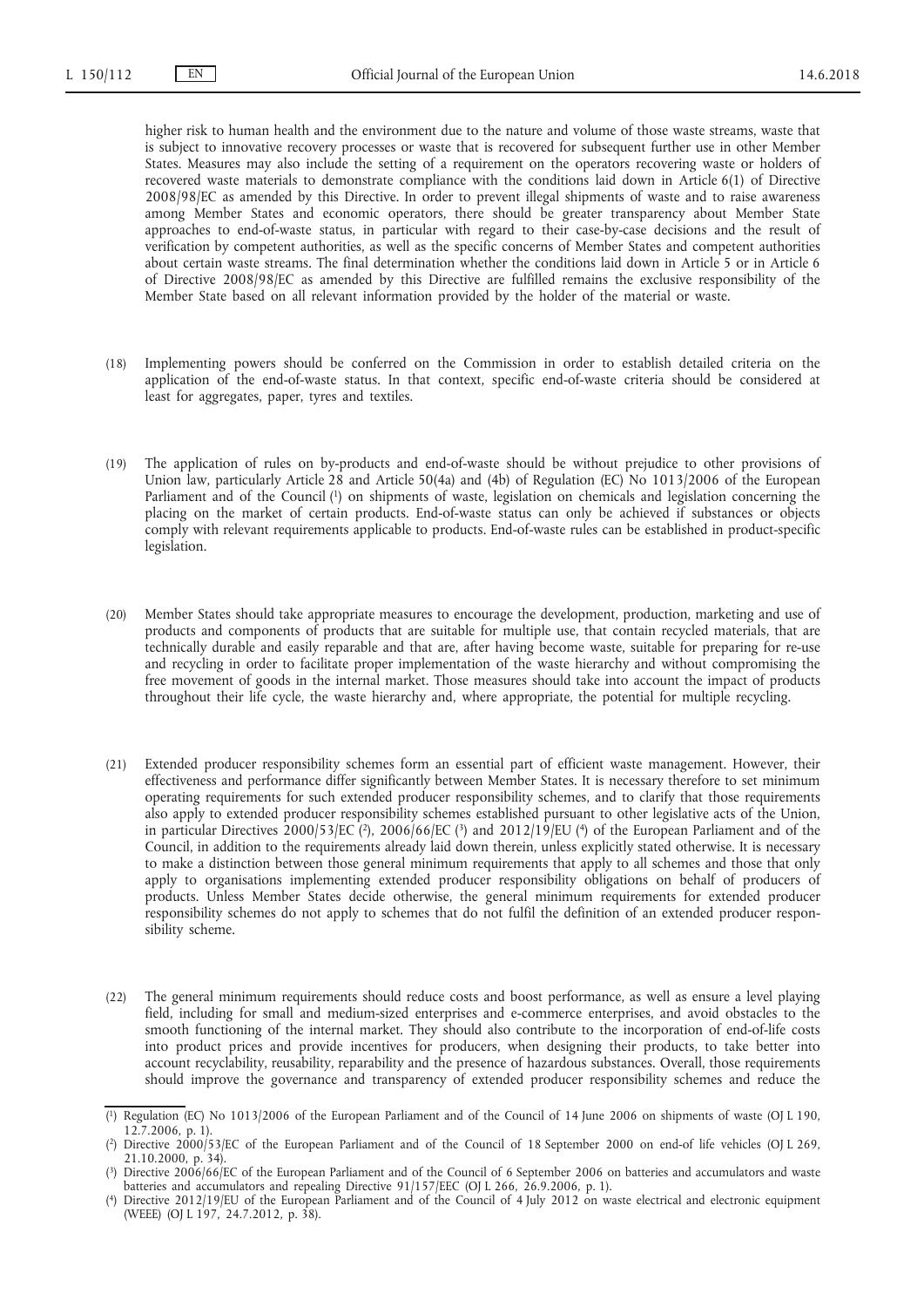higher risk to human health and the environment due to the nature and volume of those waste streams, waste that is subject to innovative recovery processes or waste that is recovered for subsequent further use in other Member States. Measures may also include the setting of a requirement on the operators recovering waste or holders of recovered waste materials to demonstrate compliance with the conditions laid down in Article 6(1) of Directive 2008/98/EC as amended by this Directive. In order to prevent illegal shipments of waste and to raise awareness among Member States and economic operators, there should be greater transparency about Member State approaches to end-of-waste status, in particular with regard to their case-by-case decisions and the result of verification by competent authorities, as well as the specific concerns of Member States and competent authorities about certain waste streams. The final determination whether the conditions laid down in Article 5 or in Article 6 of Directive 2008/98/EC as amended by this Directive are fulfilled remains the exclusive responsibility of the Member State based on all relevant information provided by the holder of the material or waste.

- (18) Implementing powers should be conferred on the Commission in order to establish detailed criteria on the application of the end-of-waste status. In that context, specific end-of-waste criteria should be considered at least for aggregates, paper, tyres and textiles.
- (19) The application of rules on by-products and end-of-waste should be without prejudice to other provisions of Union law, particularly Article 28 and Article 50(4a) and (4b) of Regulation (EC) No 1013/2006 of the European Parliament and of the Council (1) on shipments of waste, legislation on chemicals and legislation concerning the placing on the market of certain products. End-of-waste status can only be achieved if substances or objects comply with relevant requirements applicable to products. End-of-waste rules can be established in product-specific legislation.
- (20) Member States should take appropriate measures to encourage the development, production, marketing and use of products and components of products that are suitable for multiple use, that contain recycled materials, that are technically durable and easily reparable and that are, after having become waste, suitable for preparing for re-use and recycling in order to facilitate proper implementation of the waste hierarchy and without compromising the free movement of goods in the internal market. Those measures should take into account the impact of products throughout their life cycle, the waste hierarchy and, where appropriate, the potential for multiple recycling.
- (21) Extended producer responsibility schemes form an essential part of efficient waste management. However, their effectiveness and performance differ significantly between Member States. It is necessary therefore to set minimum operating requirements for such extended producer responsibility schemes, and to clarify that those requirements also apply to extended producer responsibility schemes established pursuant to other legislative acts of the Union, in particular Directives 2000/53/EC (2), 2006/66/EC (3) and 2012/19/EU (4) of the European Parliament and of the Council, in addition to the requirements already laid down therein, unless explicitly stated otherwise. It is necessary to make a distinction between those general minimum requirements that apply to all schemes and those that only apply to organisations implementing extended producer responsibility obligations on behalf of producers of products. Unless Member States decide otherwise, the general minimum requirements for extended producer responsibility schemes do not apply to schemes that do not fulfil the definition of an extended producer responsibility scheme.
- (22) The general minimum requirements should reduce costs and boost performance, as well as ensure a level playing field, including for small and medium-sized enterprises and e-commerce enterprises, and avoid obstacles to the smooth functioning of the internal market. They should also contribute to the incorporation of end-of-life costs into product prices and provide incentives for producers, when designing their products, to take better into account recyclability, reusability, reparability and the presence of hazardous substances. Overall, those requirements should improve the governance and transparency of extended producer responsibility schemes and reduce the

<sup>(</sup> 1) Regulation (EC) No 1013/2006 of the European Parliament and of the Council of 14 June 2006 on shipments of waste (OJ L 190, 12.7.2006, p. 1).

<sup>(</sup> 2) Directive 2000/53/EC of the European Parliament and of the Council of 18 September 2000 on end-of life vehicles (OJ L 269, 21.10.2000, p. 34).

<sup>(</sup> 3) Directive 2006/66/EC of the European Parliament and of the Council of 6 September 2006 on batteries and accumulators and waste batteries and accumulators and repealing Directive 91/157/EEC (OJ L 266, 26.9.2006, p. 1).

<sup>(</sup> 4) Directive 2012/19/EU of the European Parliament and of the Council of 4 July 2012 on waste electrical and electronic equipment (WEEE) (OJ L 197, 24.7.2012, p. 38).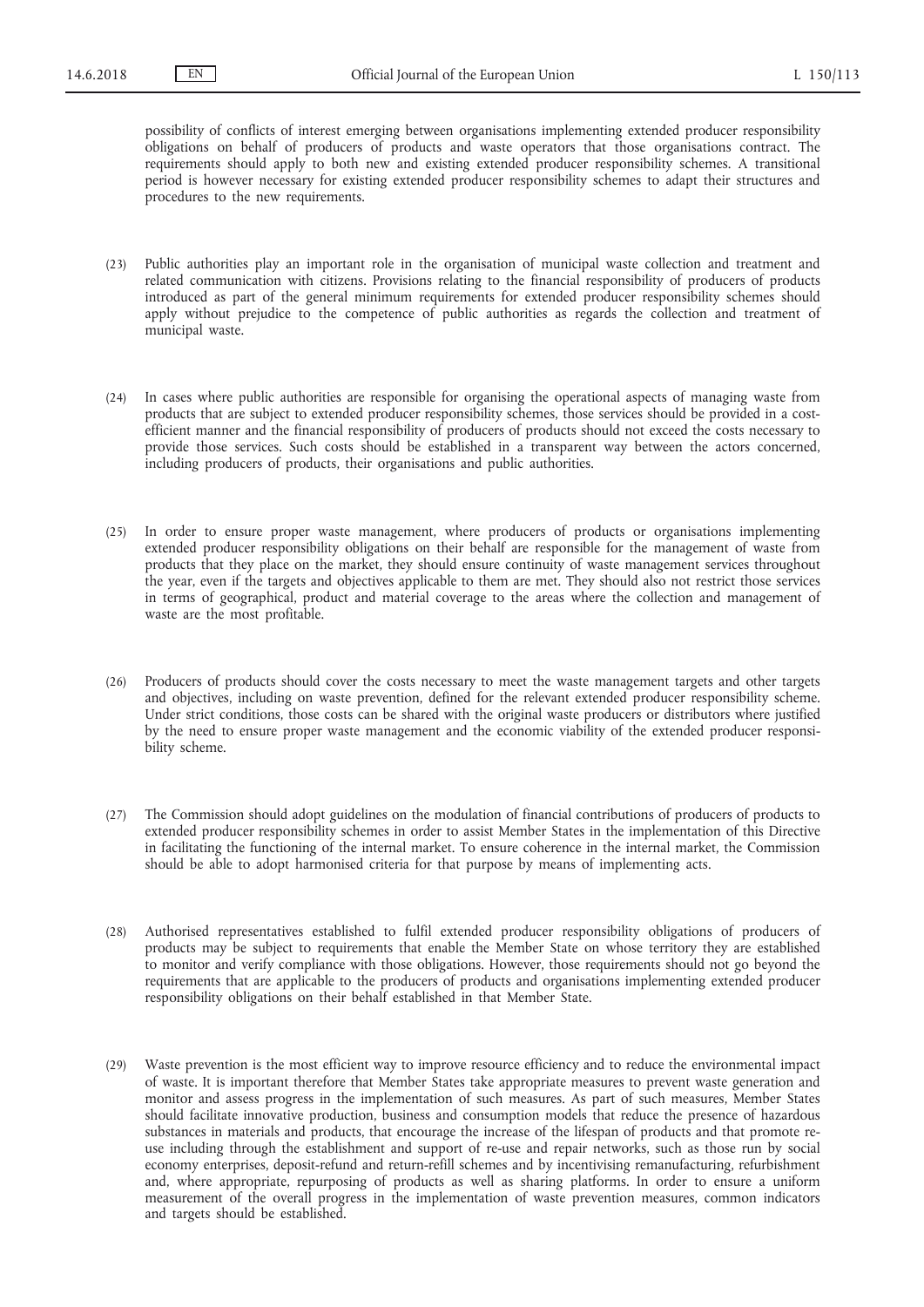possibility of conflicts of interest emerging between organisations implementing extended producer responsibility obligations on behalf of producers of products and waste operators that those organisations contract. The requirements should apply to both new and existing extended producer responsibility schemes. A transitional period is however necessary for existing extended producer responsibility schemes to adapt their structures and procedures to the new requirements.

- (23) Public authorities play an important role in the organisation of municipal waste collection and treatment and related communication with citizens. Provisions relating to the financial responsibility of producers of products introduced as part of the general minimum requirements for extended producer responsibility schemes should apply without prejudice to the competence of public authorities as regards the collection and treatment of municipal waste.
- (24) In cases where public authorities are responsible for organising the operational aspects of managing waste from products that are subject to extended producer responsibility schemes, those services should be provided in a costefficient manner and the financial responsibility of producers of products should not exceed the costs necessary to provide those services. Such costs should be established in a transparent way between the actors concerned, including producers of products, their organisations and public authorities.
- (25) In order to ensure proper waste management, where producers of products or organisations implementing extended producer responsibility obligations on their behalf are responsible for the management of waste from products that they place on the market, they should ensure continuity of waste management services throughout the year, even if the targets and objectives applicable to them are met. They should also not restrict those services in terms of geographical, product and material coverage to the areas where the collection and management of waste are the most profitable.
- (26) Producers of products should cover the costs necessary to meet the waste management targets and other targets and objectives, including on waste prevention, defined for the relevant extended producer responsibility scheme. Under strict conditions, those costs can be shared with the original waste producers or distributors where justified by the need to ensure proper waste management and the economic viability of the extended producer responsibility scheme.
- (27) The Commission should adopt guidelines on the modulation of financial contributions of producers of products to extended producer responsibility schemes in order to assist Member States in the implementation of this Directive in facilitating the functioning of the internal market. To ensure coherence in the internal market, the Commission should be able to adopt harmonised criteria for that purpose by means of implementing acts.
- (28) Authorised representatives established to fulfil extended producer responsibility obligations of producers of products may be subject to requirements that enable the Member State on whose territory they are established to monitor and verify compliance with those obligations. However, those requirements should not go beyond the requirements that are applicable to the producers of products and organisations implementing extended producer responsibility obligations on their behalf established in that Member State.
- (29) Waste prevention is the most efficient way to improve resource efficiency and to reduce the environmental impact of waste. It is important therefore that Member States take appropriate measures to prevent waste generation and monitor and assess progress in the implementation of such measures. As part of such measures, Member States should facilitate innovative production, business and consumption models that reduce the presence of hazardous substances in materials and products, that encourage the increase of the lifespan of products and that promote reuse including through the establishment and support of re-use and repair networks, such as those run by social economy enterprises, deposit-refund and return-refill schemes and by incentivising remanufacturing, refurbishment and, where appropriate, repurposing of products as well as sharing platforms. In order to ensure a uniform measurement of the overall progress in the implementation of waste prevention measures, common indicators and targets should be established.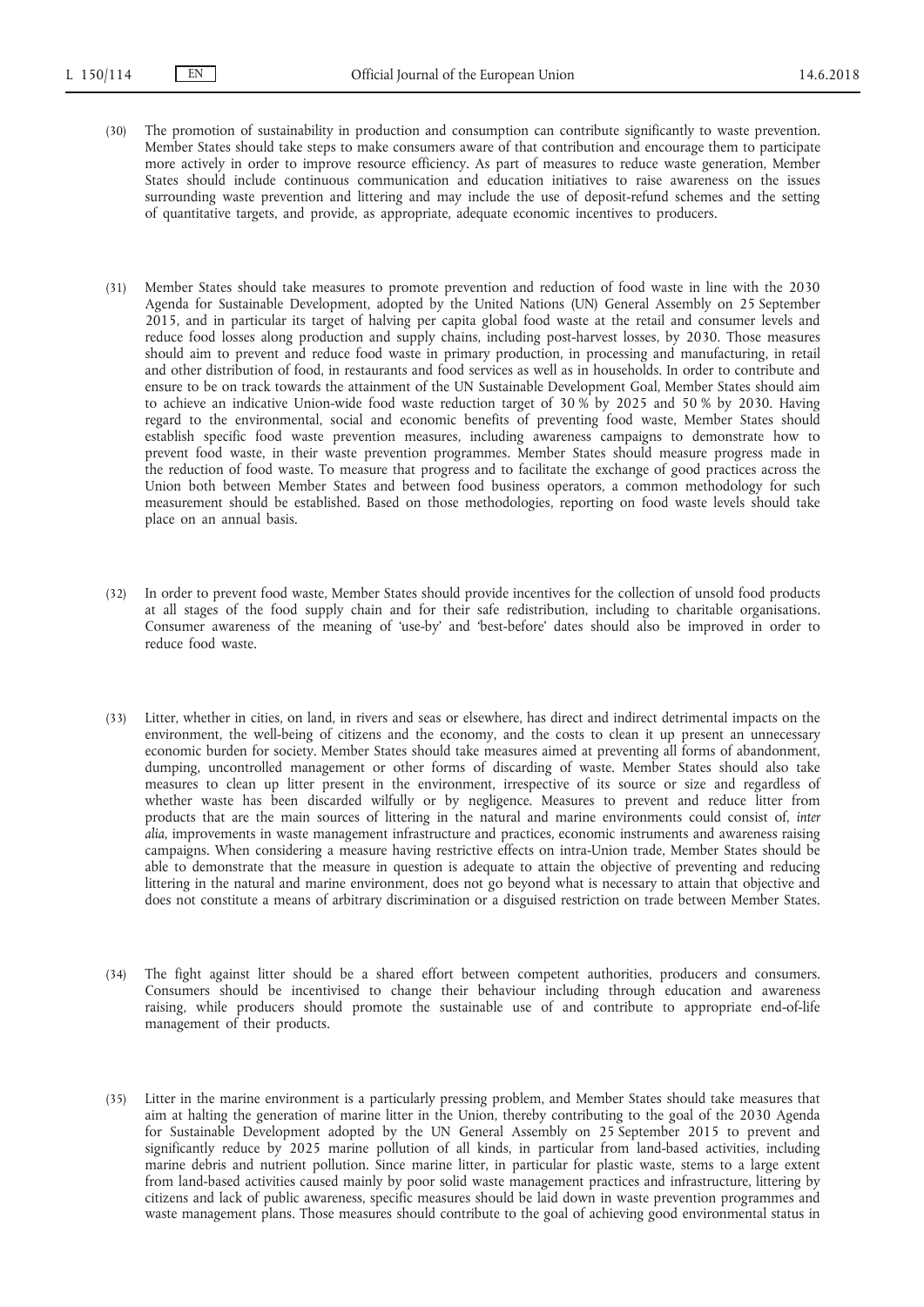- (30) The promotion of sustainability in production and consumption can contribute significantly to waste prevention. Member States should take steps to make consumers aware of that contribution and encourage them to participate more actively in order to improve resource efficiency. As part of measures to reduce waste generation, Member States should include continuous communication and education initiatives to raise awareness on the issues surrounding waste prevention and littering and may include the use of deposit-refund schemes and the setting of quantitative targets, and provide, as appropriate, adequate economic incentives to producers.
- (31) Member States should take measures to promote prevention and reduction of food waste in line with the 2030 Agenda for Sustainable Development, adopted by the United Nations (UN) General Assembly on 25 September 2015, and in particular its target of halving per capita global food waste at the retail and consumer levels and reduce food losses along production and supply chains, including post-harvest losses, by 2030. Those measures should aim to prevent and reduce food waste in primary production, in processing and manufacturing, in retail and other distribution of food, in restaurants and food services as well as in households. In order to contribute and ensure to be on track towards the attainment of the UN Sustainable Development Goal, Member States should aim to achieve an indicative Union-wide food waste reduction target of 30 % by 2025 and 50 % by 2030. Having regard to the environmental, social and economic benefits of preventing food waste, Member States should establish specific food waste prevention measures, including awareness campaigns to demonstrate how to prevent food waste, in their waste prevention programmes. Member States should measure progress made in the reduction of food waste. To measure that progress and to facilitate the exchange of good practices across the Union both between Member States and between food business operators, a common methodology for such measurement should be established. Based on those methodologies, reporting on food waste levels should take place on an annual basis.
- (32) In order to prevent food waste, Member States should provide incentives for the collection of unsold food products at all stages of the food supply chain and for their safe redistribution, including to charitable organisations. Consumer awareness of the meaning of 'use-by' and 'best-before' dates should also be improved in order to reduce food waste.
- (33) Litter, whether in cities, on land, in rivers and seas or elsewhere, has direct and indirect detrimental impacts on the environment, the well-being of citizens and the economy, and the costs to clean it up present an unnecessary economic burden for society. Member States should take measures aimed at preventing all forms of abandonment, dumping, uncontrolled management or other forms of discarding of waste. Member States should also take measures to clean up litter present in the environment, irrespective of its source or size and regardless of whether waste has been discarded wilfully or by negligence. Measures to prevent and reduce litter from products that are the main sources of littering in the natural and marine environments could consist of, *inter alia*, improvements in waste management infrastructure and practices, economic instruments and awareness raising campaigns. When considering a measure having restrictive effects on intra-Union trade, Member States should be able to demonstrate that the measure in question is adequate to attain the objective of preventing and reducing littering in the natural and marine environment, does not go beyond what is necessary to attain that objective and does not constitute a means of arbitrary discrimination or a disguised restriction on trade between Member States.
- (34) The fight against litter should be a shared effort between competent authorities, producers and consumers. Consumers should be incentivised to change their behaviour including through education and awareness raising, while producers should promote the sustainable use of and contribute to appropriate end-of-life management of their products.
- (35) Litter in the marine environment is a particularly pressing problem, and Member States should take measures that aim at halting the generation of marine litter in the Union, thereby contributing to the goal of the 2030 Agenda for Sustainable Development adopted by the UN General Assembly on 25 September 2015 to prevent and significantly reduce by 2025 marine pollution of all kinds, in particular from land-based activities, including marine debris and nutrient pollution. Since marine litter, in particular for plastic waste, stems to a large extent from land-based activities caused mainly by poor solid waste management practices and infrastructure, littering by citizens and lack of public awareness, specific measures should be laid down in waste prevention programmes and waste management plans. Those measures should contribute to the goal of achieving good environmental status in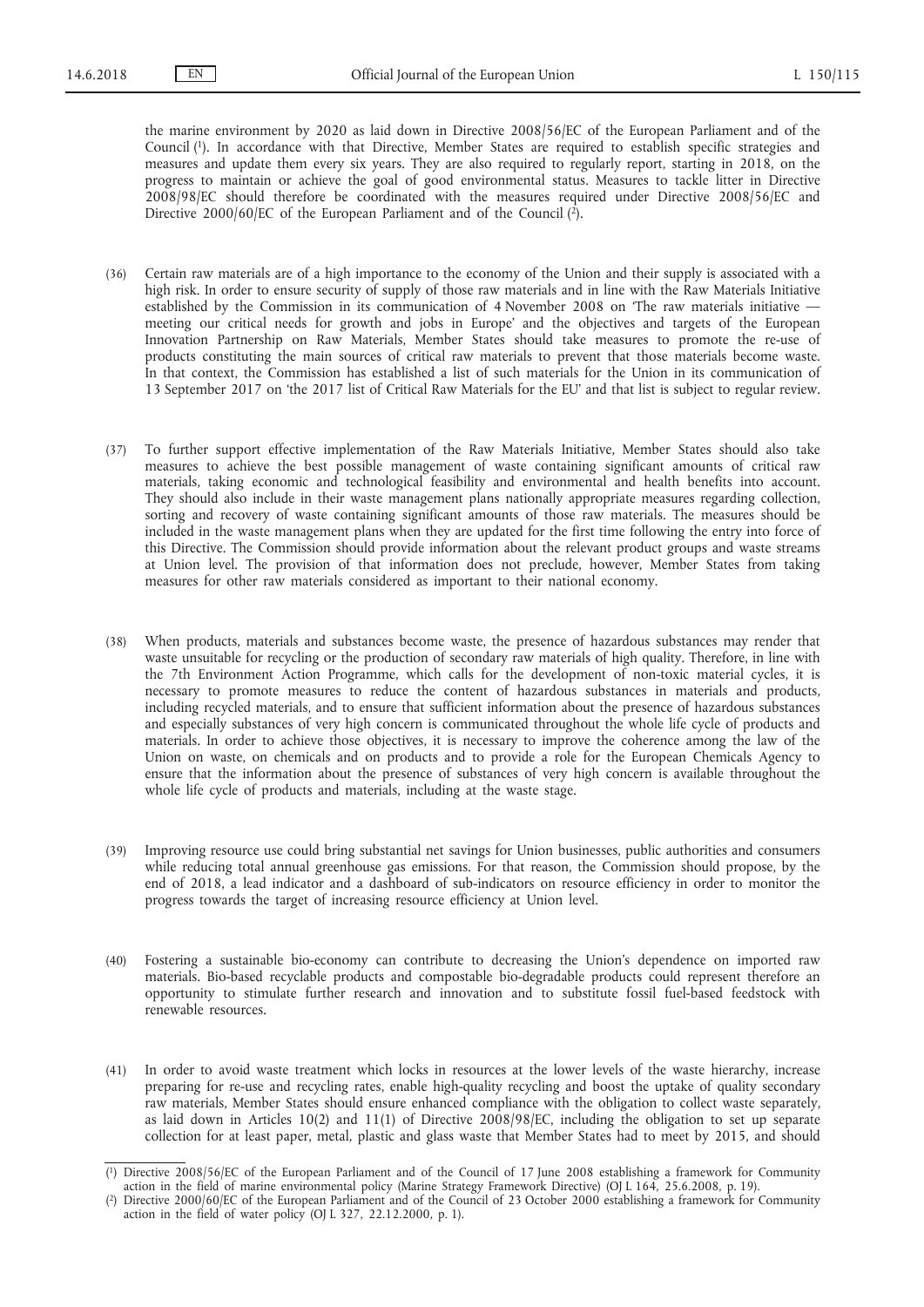the marine environment by 2020 as laid down in Directive 2008/56/EC of the European Parliament and of the Council (1). In accordance with that Directive, Member States are required to establish specific strategies and measures and update them every six years. They are also required to regularly report, starting in 2018, on the progress to maintain or achieve the goal of good environmental status. Measures to tackle litter in Directive 2008/98/EC should therefore be coordinated with the measures required under Directive 2008/56/EC and Directive 2000/60/EC of the European Parliament and of the Council  $(\hat{2})$ .

- (36) Certain raw materials are of a high importance to the economy of the Union and their supply is associated with a high risk. In order to ensure security of supply of those raw materials and in line with the Raw Materials Initiative established by the Commission in its communication of 4 November 2008 on 'The raw materials initiative meeting our critical needs for growth and jobs in Europe' and the objectives and targets of the European Innovation Partnership on Raw Materials, Member States should take measures to promote the re-use of products constituting the main sources of critical raw materials to prevent that those materials become waste. In that context, the Commission has established a list of such materials for the Union in its communication of 13 September 2017 on 'the 2017 list of Critical Raw Materials for the EU' and that list is subject to regular review.
- (37) To further support effective implementation of the Raw Materials Initiative, Member States should also take measures to achieve the best possible management of waste containing significant amounts of critical raw materials, taking economic and technological feasibility and environmental and health benefits into account. They should also include in their waste management plans nationally appropriate measures regarding collection, sorting and recovery of waste containing significant amounts of those raw materials. The measures should be included in the waste management plans when they are updated for the first time following the entry into force of this Directive. The Commission should provide information about the relevant product groups and waste streams at Union level. The provision of that information does not preclude, however, Member States from taking measures for other raw materials considered as important to their national economy.
- (38) When products, materials and substances become waste, the presence of hazardous substances may render that waste unsuitable for recycling or the production of secondary raw materials of high quality. Therefore, in line with the 7th Environment Action Programme, which calls for the development of non-toxic material cycles, it is necessary to promote measures to reduce the content of hazardous substances in materials and products, including recycled materials, and to ensure that sufficient information about the presence of hazardous substances and especially substances of very high concern is communicated throughout the whole life cycle of products and materials. In order to achieve those objectives, it is necessary to improve the coherence among the law of the Union on waste, on chemicals and on products and to provide a role for the European Chemicals Agency to ensure that the information about the presence of substances of very high concern is available throughout the whole life cycle of products and materials, including at the waste stage.
- (39) Improving resource use could bring substantial net savings for Union businesses, public authorities and consumers while reducing total annual greenhouse gas emissions. For that reason, the Commission should propose, by the end of 2018, a lead indicator and a dashboard of sub-indicators on resource efficiency in order to monitor the progress towards the target of increasing resource efficiency at Union level.
- (40) Fostering a sustainable bio-economy can contribute to decreasing the Union's dependence on imported raw materials. Bio-based recyclable products and compostable bio-degradable products could represent therefore an opportunity to stimulate further research and innovation and to substitute fossil fuel-based feedstock with renewable resources.
- (41) In order to avoid waste treatment which locks in resources at the lower levels of the waste hierarchy, increase preparing for re-use and recycling rates, enable high-quality recycling and boost the uptake of quality secondary raw materials, Member States should ensure enhanced compliance with the obligation to collect waste separately, as laid down in Articles 10(2) and 11(1) of Directive 2008/98/EC, including the obligation to set up separate collection for at least paper, metal, plastic and glass waste that Member States had to meet by 2015, and should

<sup>(</sup> 1) Directive 2008/56/EC of the European Parliament and of the Council of 17 June 2008 establishing a framework for Community action in the field of marine environmental policy (Marine Strategy Framework Directive) (OJ L 164, 25.6.2008, p. 19).

<sup>(</sup> 2) Directive 2000/60/EC of the European Parliament and of the Council of 23 October 2000 establishing a framework for Community action in the field of water policy (OJ L 327, 22.12.2000, p. 1).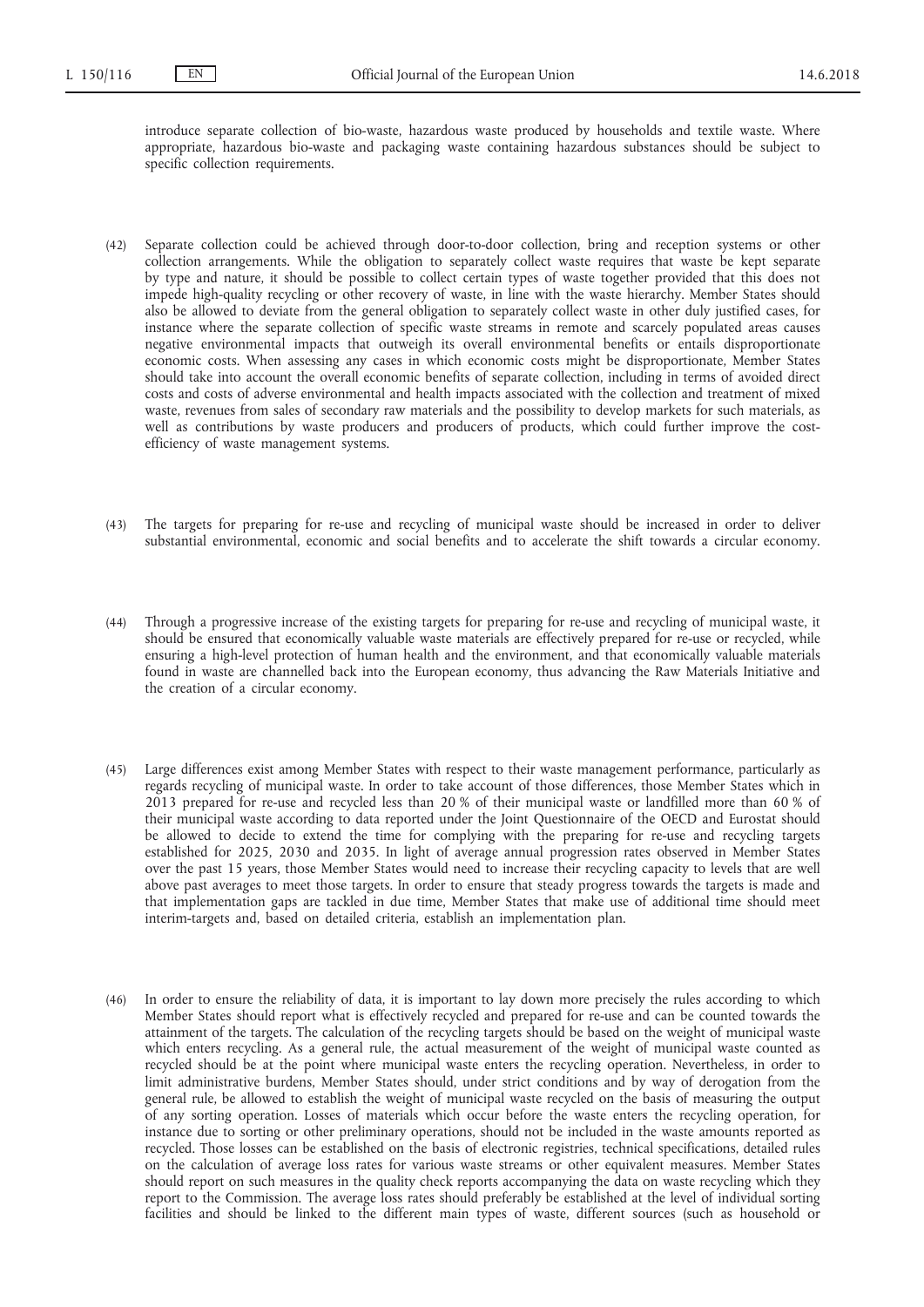introduce separate collection of bio-waste, hazardous waste produced by households and textile waste. Where appropriate, hazardous bio-waste and packaging waste containing hazardous substances should be subject to specific collection requirements.

- (42) Separate collection could be achieved through door-to-door collection, bring and reception systems or other collection arrangements. While the obligation to separately collect waste requires that waste be kept separate by type and nature, it should be possible to collect certain types of waste together provided that this does not impede high-quality recycling or other recovery of waste, in line with the waste hierarchy. Member States should also be allowed to deviate from the general obligation to separately collect waste in other duly justified cases, for instance where the separate collection of specific waste streams in remote and scarcely populated areas causes negative environmental impacts that outweigh its overall environmental benefits or entails disproportionate economic costs. When assessing any cases in which economic costs might be disproportionate, Member States should take into account the overall economic benefits of separate collection, including in terms of avoided direct costs and costs of adverse environmental and health impacts associated with the collection and treatment of mixed waste, revenues from sales of secondary raw materials and the possibility to develop markets for such materials, as well as contributions by waste producers and producers of products, which could further improve the costefficiency of waste management systems.
- (43) The targets for preparing for re-use and recycling of municipal waste should be increased in order to deliver substantial environmental, economic and social benefits and to accelerate the shift towards a circular economy.
- (44) Through a progressive increase of the existing targets for preparing for re-use and recycling of municipal waste, it should be ensured that economically valuable waste materials are effectively prepared for re-use or recycled, while ensuring a high-level protection of human health and the environment, and that economically valuable materials found in waste are channelled back into the European economy, thus advancing the Raw Materials Initiative and the creation of a circular economy.
- (45) Large differences exist among Member States with respect to their waste management performance, particularly as regards recycling of municipal waste. In order to take account of those differences, those Member States which in 2013 prepared for re-use and recycled less than 20 % of their municipal waste or landfilled more than 60 % of their municipal waste according to data reported under the Joint Questionnaire of the OECD and Eurostat should be allowed to decide to extend the time for complying with the preparing for re-use and recycling targets established for 2025, 2030 and 2035. In light of average annual progression rates observed in Member States over the past 15 years, those Member States would need to increase their recycling capacity to levels that are well above past averages to meet those targets. In order to ensure that steady progress towards the targets is made and that implementation gaps are tackled in due time, Member States that make use of additional time should meet interim-targets and, based on detailed criteria, establish an implementation plan.
- (46) In order to ensure the reliability of data, it is important to lay down more precisely the rules according to which Member States should report what is effectively recycled and prepared for re-use and can be counted towards the attainment of the targets. The calculation of the recycling targets should be based on the weight of municipal waste which enters recycling. As a general rule, the actual measurement of the weight of municipal waste counted as recycled should be at the point where municipal waste enters the recycling operation. Nevertheless, in order to limit administrative burdens, Member States should, under strict conditions and by way of derogation from the general rule, be allowed to establish the weight of municipal waste recycled on the basis of measuring the output of any sorting operation. Losses of materials which occur before the waste enters the recycling operation, for instance due to sorting or other preliminary operations, should not be included in the waste amounts reported as recycled. Those losses can be established on the basis of electronic registries, technical specifications, detailed rules on the calculation of average loss rates for various waste streams or other equivalent measures. Member States should report on such measures in the quality check reports accompanying the data on waste recycling which they report to the Commission. The average loss rates should preferably be established at the level of individual sorting facilities and should be linked to the different main types of waste, different sources (such as household or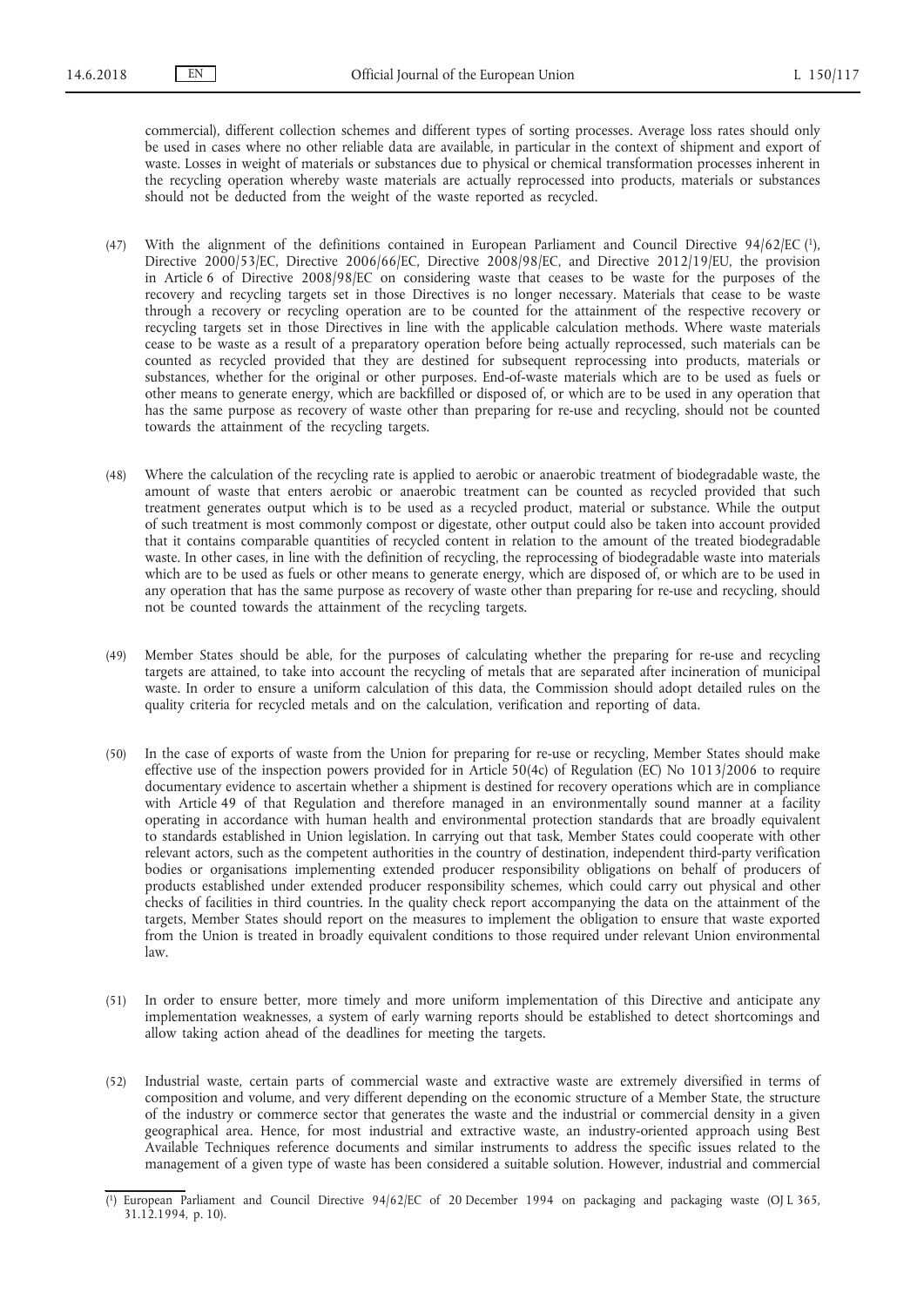commercial), different collection schemes and different types of sorting processes. Average loss rates should only be used in cases where no other reliable data are available, in particular in the context of shipment and export of waste. Losses in weight of materials or substances due to physical or chemical transformation processes inherent in the recycling operation whereby waste materials are actually reprocessed into products, materials or substances should not be deducted from the weight of the waste reported as recycled.

- (47) With the alignment of the definitions contained in European Parliament and Council Directive 94/62/EC (1), Directive 2000/53/EC, Directive 2006/66/EC, Directive 2008/98/EC, and Directive 2012/19/EU, the provision in Article 6 of Directive 2008/98/EC on considering waste that ceases to be waste for the purposes of the recovery and recycling targets set in those Directives is no longer necessary. Materials that cease to be waste through a recovery or recycling operation are to be counted for the attainment of the respective recovery or recycling targets set in those Directives in line with the applicable calculation methods. Where waste materials cease to be waste as a result of a preparatory operation before being actually reprocessed, such materials can be counted as recycled provided that they are destined for subsequent reprocessing into products, materials or substances, whether for the original or other purposes. End-of-waste materials which are to be used as fuels or other means to generate energy, which are backfilled or disposed of, or which are to be used in any operation that has the same purpose as recovery of waste other than preparing for re-use and recycling, should not be counted towards the attainment of the recycling targets.
- (48) Where the calculation of the recycling rate is applied to aerobic or anaerobic treatment of biodegradable waste, the amount of waste that enters aerobic or anaerobic treatment can be counted as recycled provided that such treatment generates output which is to be used as a recycled product, material or substance. While the output of such treatment is most commonly compost or digestate, other output could also be taken into account provided that it contains comparable quantities of recycled content in relation to the amount of the treated biodegradable waste. In other cases, in line with the definition of recycling, the reprocessing of biodegradable waste into materials which are to be used as fuels or other means to generate energy, which are disposed of, or which are to be used in any operation that has the same purpose as recovery of waste other than preparing for re-use and recycling, should not be counted towards the attainment of the recycling targets.
- (49) Member States should be able, for the purposes of calculating whether the preparing for re-use and recycling targets are attained, to take into account the recycling of metals that are separated after incineration of municipal waste. In order to ensure a uniform calculation of this data, the Commission should adopt detailed rules on the quality criteria for recycled metals and on the calculation, verification and reporting of data.
- (50) In the case of exports of waste from the Union for preparing for re-use or recycling, Member States should make effective use of the inspection powers provided for in Article 50(4c) of Regulation (EC) No 1013/2006 to require documentary evidence to ascertain whether a shipment is destined for recovery operations which are in compliance with Article 49 of that Regulation and therefore managed in an environmentally sound manner at a facility operating in accordance with human health and environmental protection standards that are broadly equivalent to standards established in Union legislation. In carrying out that task, Member States could cooperate with other relevant actors, such as the competent authorities in the country of destination, independent third-party verification bodies or organisations implementing extended producer responsibility obligations on behalf of producers of products established under extended producer responsibility schemes, which could carry out physical and other checks of facilities in third countries. In the quality check report accompanying the data on the attainment of the targets, Member States should report on the measures to implement the obligation to ensure that waste exported from the Union is treated in broadly equivalent conditions to those required under relevant Union environmental law.
- (51) In order to ensure better, more timely and more uniform implementation of this Directive and anticipate any implementation weaknesses, a system of early warning reports should be established to detect shortcomings and allow taking action ahead of the deadlines for meeting the targets.
- (52) Industrial waste, certain parts of commercial waste and extractive waste are extremely diversified in terms of composition and volume, and very different depending on the economic structure of a Member State, the structure of the industry or commerce sector that generates the waste and the industrial or commercial density in a given geographical area. Hence, for most industrial and extractive waste, an industry-oriented approach using Best Available Techniques reference documents and similar instruments to address the specific issues related to the management of a given type of waste has been considered a suitable solution. However, industrial and commercial

<sup>(</sup> 1) European Parliament and Council Directive 94/62/EC of 20 December 1994 on packaging and packaging waste (OJ L 365, 31.12.1994, p. 10).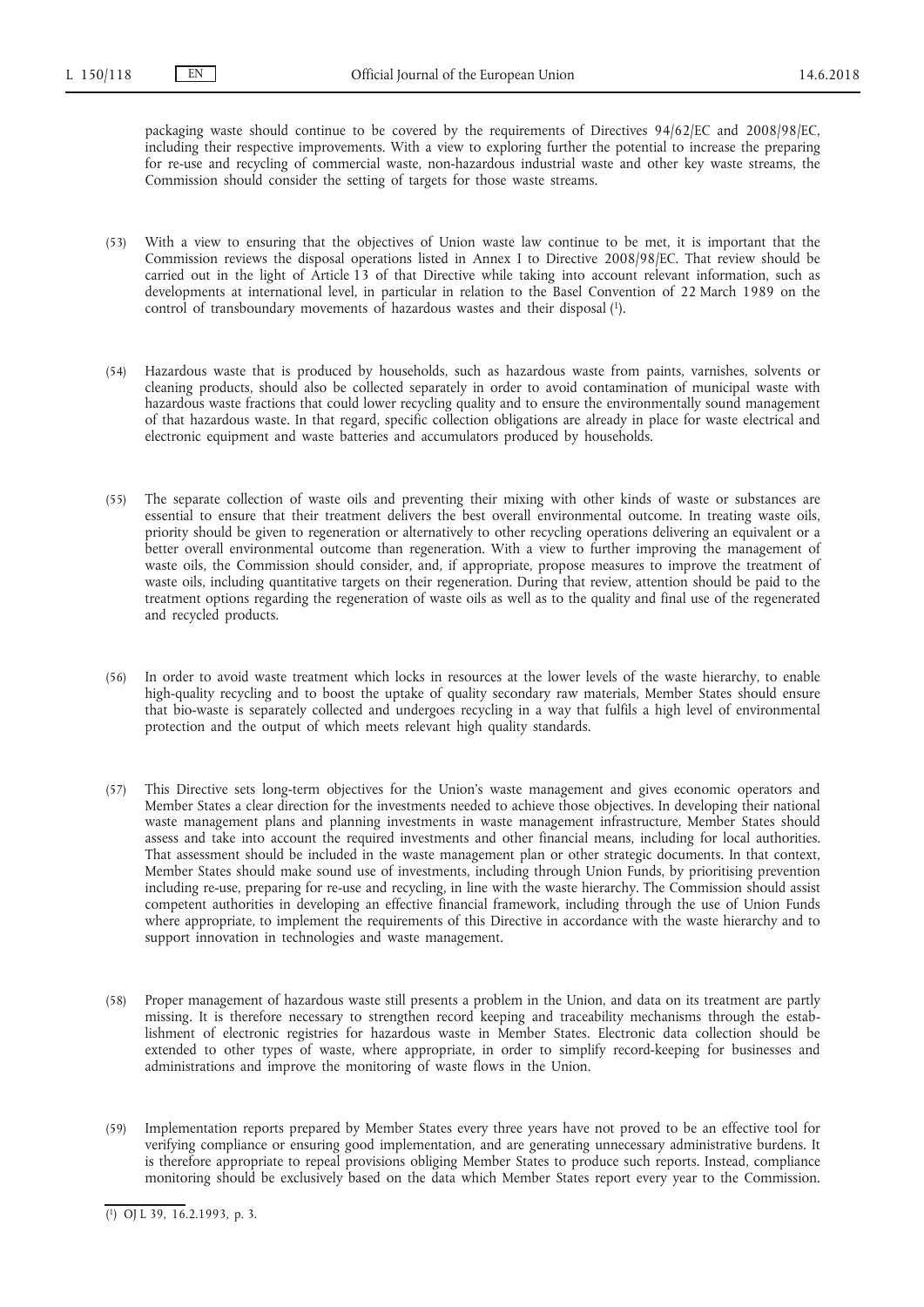packaging waste should continue to be covered by the requirements of Directives 94/62/EC and 2008/98/EC, including their respective improvements. With a view to exploring further the potential to increase the preparing for re-use and recycling of commercial waste, non-hazardous industrial waste and other key waste streams, the Commission should consider the setting of targets for those waste streams.

- (53) With a view to ensuring that the objectives of Union waste law continue to be met, it is important that the Commission reviews the disposal operations listed in Annex I to Directive 2008/98/EC. That review should be carried out in the light of Article 13 of that Directive while taking into account relevant information, such as developments at international level, in particular in relation to the Basel Convention of 22 March 1989 on the control of transboundary movements of hazardous wastes and their disposal (1).
- (54) Hazardous waste that is produced by households, such as hazardous waste from paints, varnishes, solvents or cleaning products, should also be collected separately in order to avoid contamination of municipal waste with hazardous waste fractions that could lower recycling quality and to ensure the environmentally sound management of that hazardous waste. In that regard, specific collection obligations are already in place for waste electrical and electronic equipment and waste batteries and accumulators produced by households.
- (55) The separate collection of waste oils and preventing their mixing with other kinds of waste or substances are essential to ensure that their treatment delivers the best overall environmental outcome. In treating waste oils, priority should be given to regeneration or alternatively to other recycling operations delivering an equivalent or a better overall environmental outcome than regeneration. With a view to further improving the management of waste oils, the Commission should consider, and, if appropriate, propose measures to improve the treatment of waste oils, including quantitative targets on their regeneration. During that review, attention should be paid to the treatment options regarding the regeneration of waste oils as well as to the quality and final use of the regenerated and recycled products.
- (56) In order to avoid waste treatment which locks in resources at the lower levels of the waste hierarchy, to enable high-quality recycling and to boost the uptake of quality secondary raw materials, Member States should ensure that bio-waste is separately collected and undergoes recycling in a way that fulfils a high level of environmental protection and the output of which meets relevant high quality standards.
- (57) This Directive sets long-term objectives for the Union's waste management and gives economic operators and Member States a clear direction for the investments needed to achieve those objectives. In developing their national waste management plans and planning investments in waste management infrastructure, Member States should assess and take into account the required investments and other financial means, including for local authorities. That assessment should be included in the waste management plan or other strategic documents. In that context, Member States should make sound use of investments, including through Union Funds, by prioritising prevention including re-use, preparing for re-use and recycling, in line with the waste hierarchy. The Commission should assist competent authorities in developing an effective financial framework, including through the use of Union Funds where appropriate, to implement the requirements of this Directive in accordance with the waste hierarchy and to support innovation in technologies and waste management.
- (58) Proper management of hazardous waste still presents a problem in the Union, and data on its treatment are partly missing. It is therefore necessary to strengthen record keeping and traceability mechanisms through the establishment of electronic registries for hazardous waste in Member States. Electronic data collection should be extended to other types of waste, where appropriate, in order to simplify record-keeping for businesses and administrations and improve the monitoring of waste flows in the Union.
- (59) Implementation reports prepared by Member States every three years have not proved to be an effective tool for verifying compliance or ensuring good implementation, and are generating unnecessary administrative burdens. It is therefore appropriate to repeal provisions obliging Member States to produce such reports. Instead, compliance monitoring should be exclusively based on the data which Member States report every year to the Commission.

<sup>(</sup> 1) OJ L 39, 16.2.1993, p. 3.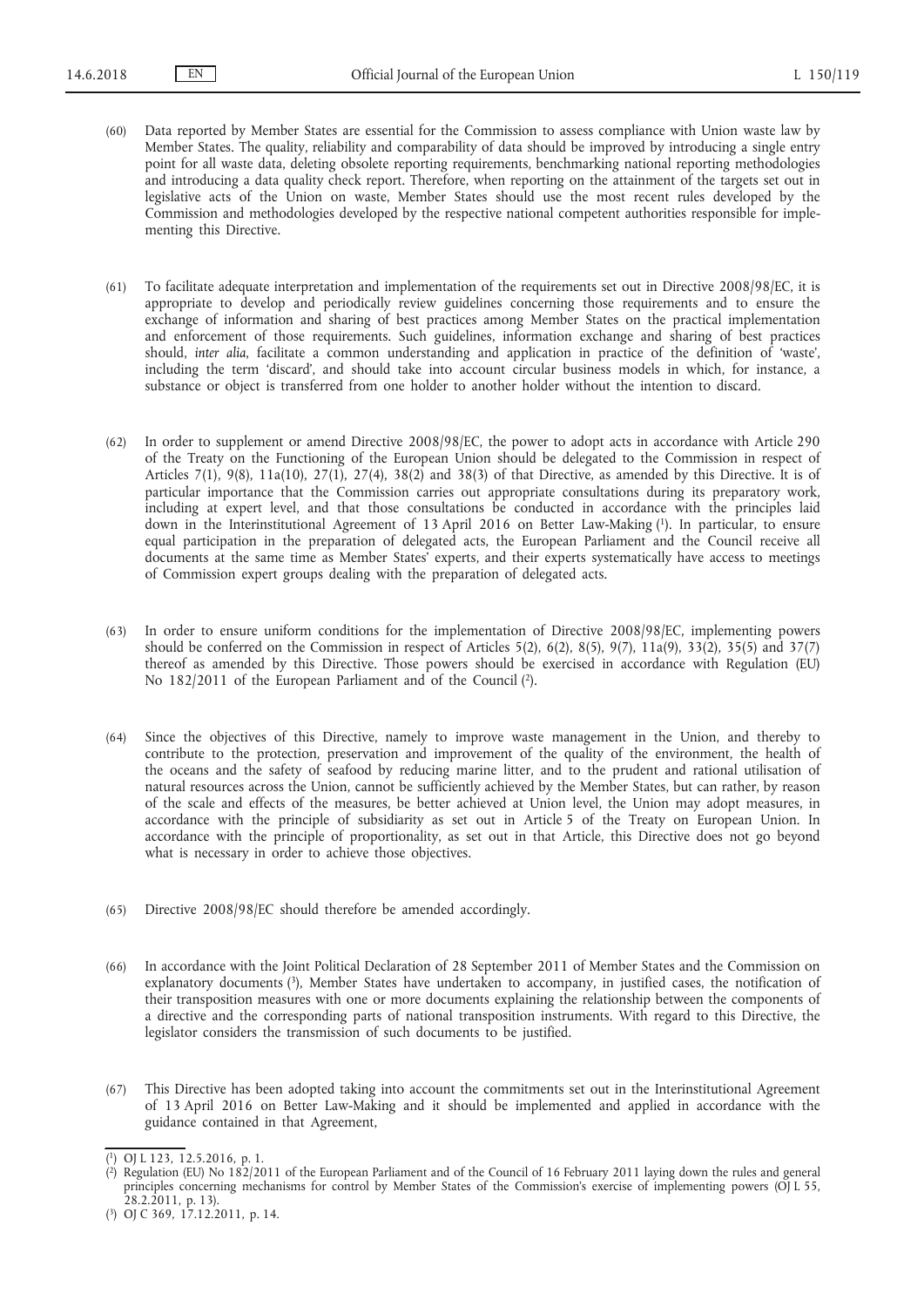- (60) Data reported by Member States are essential for the Commission to assess compliance with Union waste law by Member States. The quality, reliability and comparability of data should be improved by introducing a single entry point for all waste data, deleting obsolete reporting requirements, benchmarking national reporting methodologies and introducing a data quality check report. Therefore, when reporting on the attainment of the targets set out in legislative acts of the Union on waste, Member States should use the most recent rules developed by the Commission and methodologies developed by the respective national competent authorities responsible for implementing this Directive.
- (61) To facilitate adequate interpretation and implementation of the requirements set out in Directive 2008/98/EC, it is appropriate to develop and periodically review guidelines concerning those requirements and to ensure the exchange of information and sharing of best practices among Member States on the practical implementation and enforcement of those requirements. Such guidelines, information exchange and sharing of best practices should, *inter alia*, facilitate a common understanding and application in practice of the definition of 'waste', including the term 'discard', and should take into account circular business models in which, for instance, a substance or object is transferred from one holder to another holder without the intention to discard.
- (62) In order to supplement or amend Directive 2008/98/EC, the power to adopt acts in accordance with Article 290 of the Treaty on the Functioning of the European Union should be delegated to the Commission in respect of Articles 7(1), 9(8), 11a(10), 27(1), 27(4), 38(2) and 38(3) of that Directive, as amended by this Directive. It is of particular importance that the Commission carries out appropriate consultations during its preparatory work, including at expert level, and that those consultations be conducted in accordance with the principles laid down in the Interinstitutional Agreement of 13 April 2016 on Better Law-Making (1). In particular, to ensure equal participation in the preparation of delegated acts, the European Parliament and the Council receive all documents at the same time as Member States' experts, and their experts systematically have access to meetings of Commission expert groups dealing with the preparation of delegated acts.
- (63) In order to ensure uniform conditions for the implementation of Directive 2008/98/EC, implementing powers should be conferred on the Commission in respect of Articles 5(2), 6(2), 8(5), 9(7), 11a(9), 33(2), 35(5) and 37(7) thereof as amended by this Directive. Those powers should be exercised in accordance with Regulation (EU) No 182/2011 of the European Parliament and of the Council (2).
- (64) Since the objectives of this Directive, namely to improve waste management in the Union, and thereby to contribute to the protection, preservation and improvement of the quality of the environment, the health of the oceans and the safety of seafood by reducing marine litter, and to the prudent and rational utilisation of natural resources across the Union, cannot be sufficiently achieved by the Member States, but can rather, by reason of the scale and effects of the measures, be better achieved at Union level, the Union may adopt measures, in accordance with the principle of subsidiarity as set out in Article 5 of the Treaty on European Union. In accordance with the principle of proportionality, as set out in that Article, this Directive does not go beyond what is necessary in order to achieve those objectives.
- (65) Directive 2008/98/EC should therefore be amended accordingly.
- (66) In accordance with the Joint Political Declaration of 28 September 2011 of Member States and the Commission on explanatory documents (3), Member States have undertaken to accompany, in justified cases, the notification of their transposition measures with one or more documents explaining the relationship between the components of a directive and the corresponding parts of national transposition instruments. With regard to this Directive, the legislator considers the transmission of such documents to be justified.
- (67) This Directive has been adopted taking into account the commitments set out in the Interinstitutional Agreement of 13 April 2016 on Better Law-Making and it should be implemented and applied in accordance with the guidance contained in that Agreement,

<sup>(</sup> 1) OJ L 123, 12.5.2016, p. 1.

<sup>(</sup> 2) Regulation (EU) No 182/2011 of the European Parliament and of the Council of 16 February 2011 laying down the rules and general principles concerning mechanisms for control by Member States of the Commission's exercise of implementing powers (OJ L 55, 28.2.2011, p. 13).

<sup>(</sup> 3) OJ C 369, 17.12.2011, p. 14.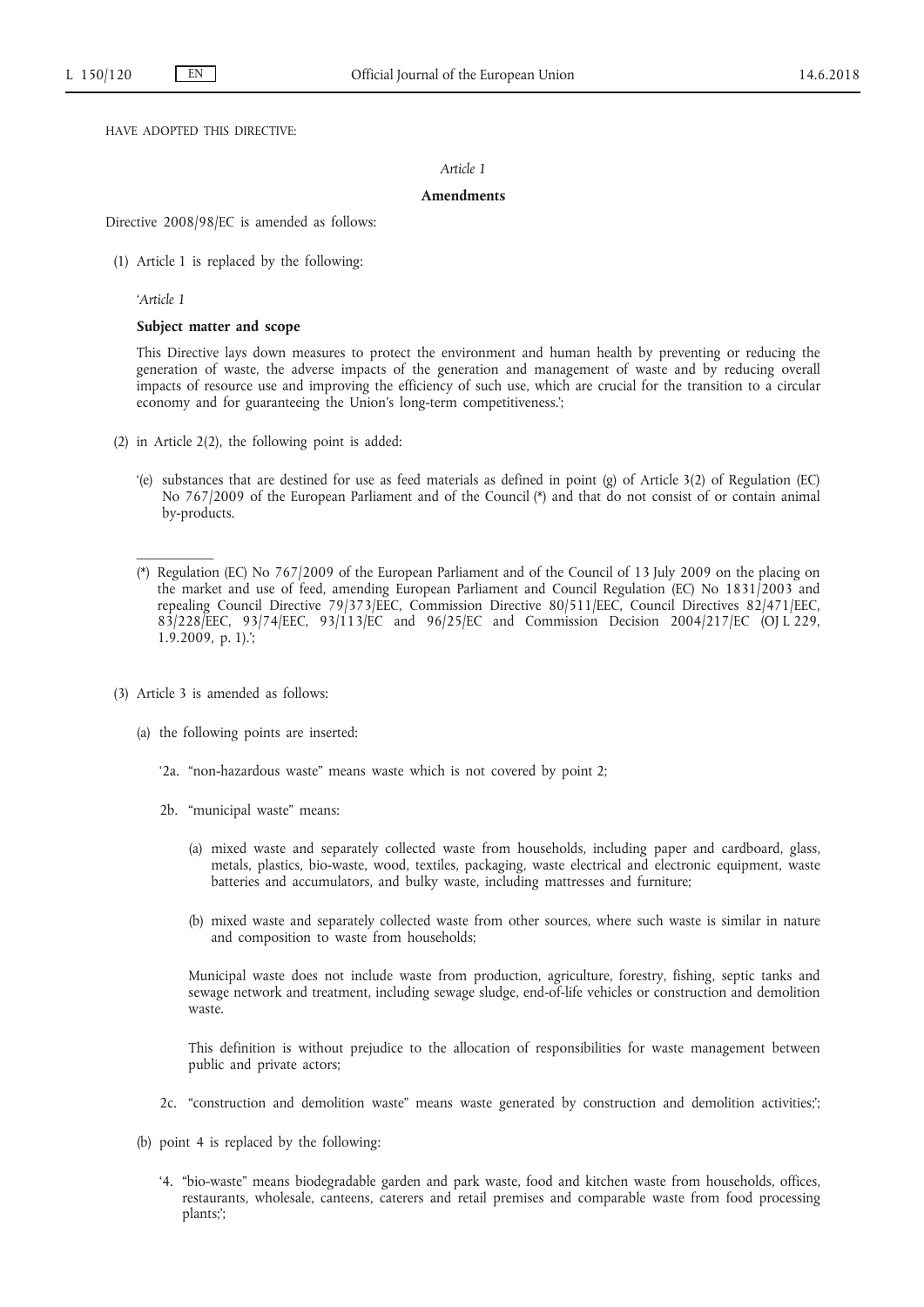HAVE ADOPTED THIS DIRECTIVE:

# *Article 1*

## **Amendments**

Directive 2008/98/EC is amended as follows:

(1) Article 1 is replaced by the following:

*'Article 1*

# **Subject matter and scope**

This Directive lays down measures to protect the environment and human health by preventing or reducing the generation of waste, the adverse impacts of the generation and management of waste and by reducing overall impacts of resource use and improving the efficiency of such use, which are crucial for the transition to a circular economy and for guaranteeing the Union's long-term competitiveness.';

- (2) in Article 2(2), the following point is added:
	- '(e) substances that are destined for use as feed materials as defined in point (g) of Article 3(2) of Regulation (EC) No 767/2009 of the European Parliament and of the Council (\*) and that do not consist of or contain animal by-products.
	- (\*) Regulation (EC) No 767/2009 of the European Parliament and of the Council of 13 July 2009 on the placing on the market and use of feed, amending European Parliament and Council Regulation (EC) No 1831/2003 and repealing Council Directive 79/373/EEC, Commission Directive 80/511/EEC, Council Directives 82/471/EEC, 83/228/EEC, 93/74/EEC, 93/113/EC and 96/25/EC and Commission Decision 2004/217/EC (OJ L 229, 1.9.2009, p. 1).';
- (3) Article 3 is amended as follows:
	- (a) the following points are inserted:
		- '2a. "non-hazardous waste" means waste which is not covered by point 2;
		- 2b. "municipal waste" means:
			- (a) mixed waste and separately collected waste from households, including paper and cardboard, glass, metals, plastics, bio-waste, wood, textiles, packaging, waste electrical and electronic equipment, waste batteries and accumulators, and bulky waste, including mattresses and furniture;
			- (b) mixed waste and separately collected waste from other sources, where such waste is similar in nature and composition to waste from households;

Municipal waste does not include waste from production, agriculture, forestry, fishing, septic tanks and sewage network and treatment, including sewage sludge, end-of-life vehicles or construction and demolition waste.

This definition is without prejudice to the allocation of responsibilities for waste management between public and private actors;

- 2c. "construction and demolition waste" means waste generated by construction and demolition activities;';
- (b) point 4 is replaced by the following:
	- '4. "bio-waste" means biodegradable garden and park waste, food and kitchen waste from households, offices, restaurants, wholesale, canteens, caterers and retail premises and comparable waste from food processing plants;';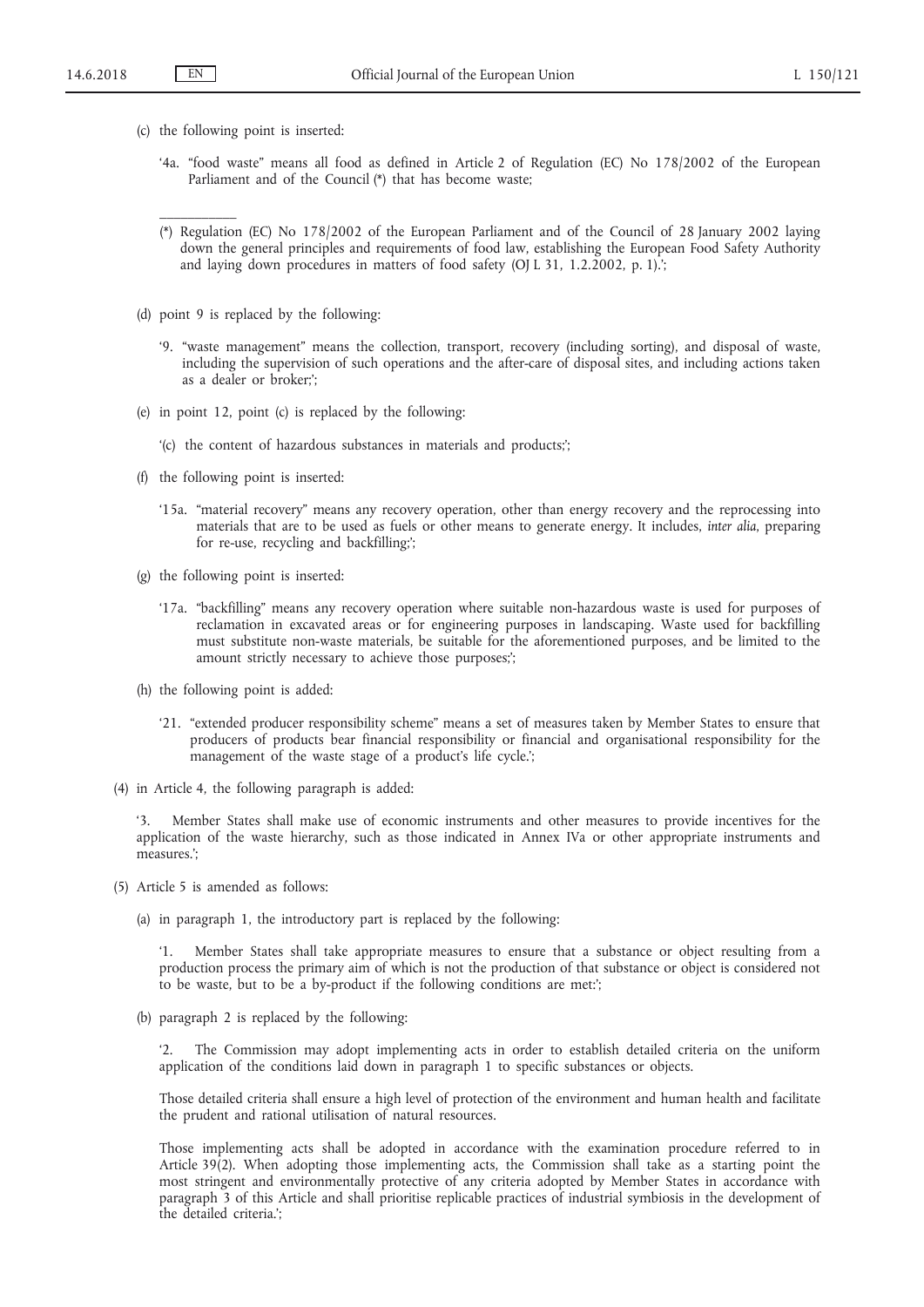$\mathcal{L}$  and  $\mathcal{L}$ 

- (c) the following point is inserted:
	- '4a. "food waste" means all food as defined in Article 2 of Regulation (EC) No 178/2002 of the European Parliament and of the Council (\*) that has become waste;
	- (\*) Regulation (EC) No 178/2002 of the European Parliament and of the Council of 28 January 2002 laying down the general principles and requirements of food law, establishing the European Food Safety Authority and laying down procedures in matters of food safety (OJ L 31, 1.2.2002, p. 1).';
- (d) point 9 is replaced by the following:
	- '9. "waste management" means the collection, transport, recovery (including sorting), and disposal of waste, including the supervision of such operations and the after-care of disposal sites, and including actions taken as a dealer or broker;';
- (e) in point 12, point (c) is replaced by the following:
	- '(c) the content of hazardous substances in materials and products;';
- (f) the following point is inserted:
	- '15a. "material recovery" means any recovery operation, other than energy recovery and the reprocessing into materials that are to be used as fuels or other means to generate energy. It includes, *inter alia*, preparing for re-use, recycling and backfilling;';
- (g) the following point is inserted:
	- '17a. "backfilling" means any recovery operation where suitable non-hazardous waste is used for purposes of reclamation in excavated areas or for engineering purposes in landscaping. Waste used for backfilling must substitute non-waste materials, be suitable for the aforementioned purposes, and be limited to the amount strictly necessary to achieve those purposes;
- (h) the following point is added:
	- '21. "extended producer responsibility scheme" means a set of measures taken by Member States to ensure that producers of products bear financial responsibility or financial and organisational responsibility for the management of the waste stage of a product's life cycle.';
- (4) in Article 4, the following paragraph is added:

'3. Member States shall make use of economic instruments and other measures to provide incentives for the application of the waste hierarchy, such as those indicated in Annex IVa or other appropriate instruments and measures<sup>"</sup>

- (5) Article 5 is amended as follows:
	- (a) in paragraph 1, the introductory part is replaced by the following:

'1. Member States shall take appropriate measures to ensure that a substance or object resulting from a production process the primary aim of which is not the production of that substance or object is considered not to be waste, but to be a by-product if the following conditions are met:';

(b) paragraph 2 is replaced by the following:

The Commission may adopt implementing acts in order to establish detailed criteria on the uniform application of the conditions laid down in paragraph 1 to specific substances or objects.

Those detailed criteria shall ensure a high level of protection of the environment and human health and facilitate the prudent and rational utilisation of natural resources.

Those implementing acts shall be adopted in accordance with the examination procedure referred to in Article 39(2). When adopting those implementing acts, the Commission shall take as a starting point the most stringent and environmentally protective of any criteria adopted by Member States in accordance with paragraph 3 of this Article and shall prioritise replicable practices of industrial symbiosis in the development of the detailed criteria.';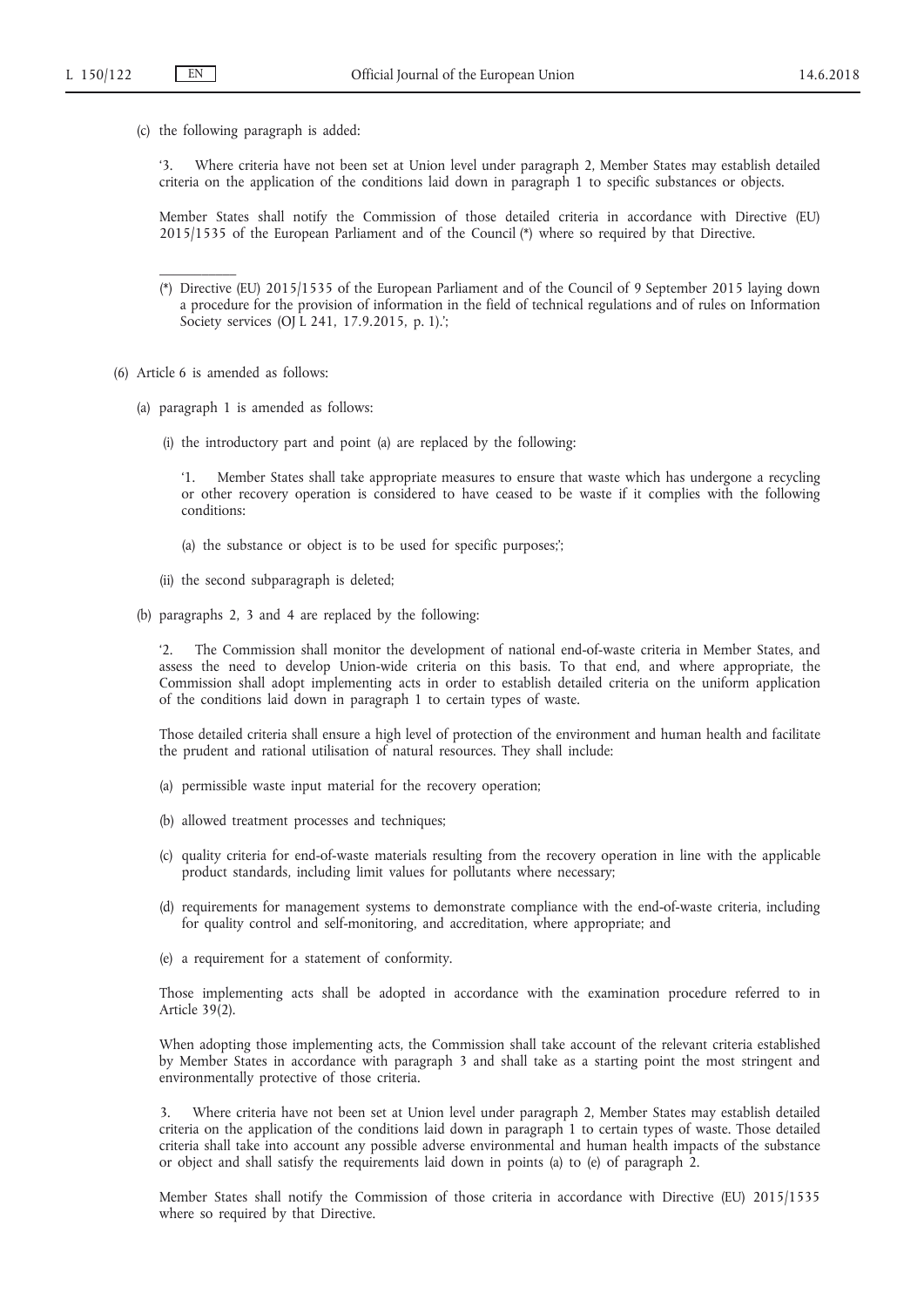(c) the following paragraph is added:

'3. Where criteria have not been set at Union level under paragraph 2, Member States may establish detailed criteria on the application of the conditions laid down in paragraph 1 to specific substances or objects.

Member States shall notify the Commission of those detailed criteria in accordance with Directive (EU) 2015/1535 of the European Parliament and of the Council (\*) where so required by that Directive.

(\*) Directive (EU) 2015/1535 of the European Parliament and of the Council of 9 September 2015 laying down a procedure for the provision of information in the field of technical regulations and of rules on Information Society services (OJ L 241, 17.9.2015, p. 1).';

- (6) Article 6 is amended as follows:
	- (a) paragraph 1 is amended as follows:
		- (i) the introductory part and point (a) are replaced by the following:

'1. Member States shall take appropriate measures to ensure that waste which has undergone a recycling or other recovery operation is considered to have ceased to be waste if it complies with the following conditions:

- (a) the substance or object is to be used for specific purposes;';
- (ii) the second subparagraph is deleted;
- (b) paragraphs 2, 3 and 4 are replaced by the following:

The Commission shall monitor the development of national end-of-waste criteria in Member States, and assess the need to develop Union-wide criteria on this basis. To that end, and where appropriate, the Commission shall adopt implementing acts in order to establish detailed criteria on the uniform application of the conditions laid down in paragraph 1 to certain types of waste.

Those detailed criteria shall ensure a high level of protection of the environment and human health and facilitate the prudent and rational utilisation of natural resources. They shall include:

- (a) permissible waste input material for the recovery operation;
- (b) allowed treatment processes and techniques;
- (c) quality criteria for end-of-waste materials resulting from the recovery operation in line with the applicable product standards, including limit values for pollutants where necessary;
- (d) requirements for management systems to demonstrate compliance with the end-of-waste criteria, including for quality control and self-monitoring, and accreditation, where appropriate; and
- (e) a requirement for a statement of conformity.

Those implementing acts shall be adopted in accordance with the examination procedure referred to in Article  $39(2)$ .

When adopting those implementing acts, the Commission shall take account of the relevant criteria established by Member States in accordance with paragraph 3 and shall take as a starting point the most stringent and environmentally protective of those criteria.

3. Where criteria have not been set at Union level under paragraph 2, Member States may establish detailed criteria on the application of the conditions laid down in paragraph 1 to certain types of waste. Those detailed criteria shall take into account any possible adverse environmental and human health impacts of the substance or object and shall satisfy the requirements laid down in points (a) to (e) of paragraph 2.

Member States shall notify the Commission of those criteria in accordance with Directive (EU) 2015/1535 where so required by that Directive.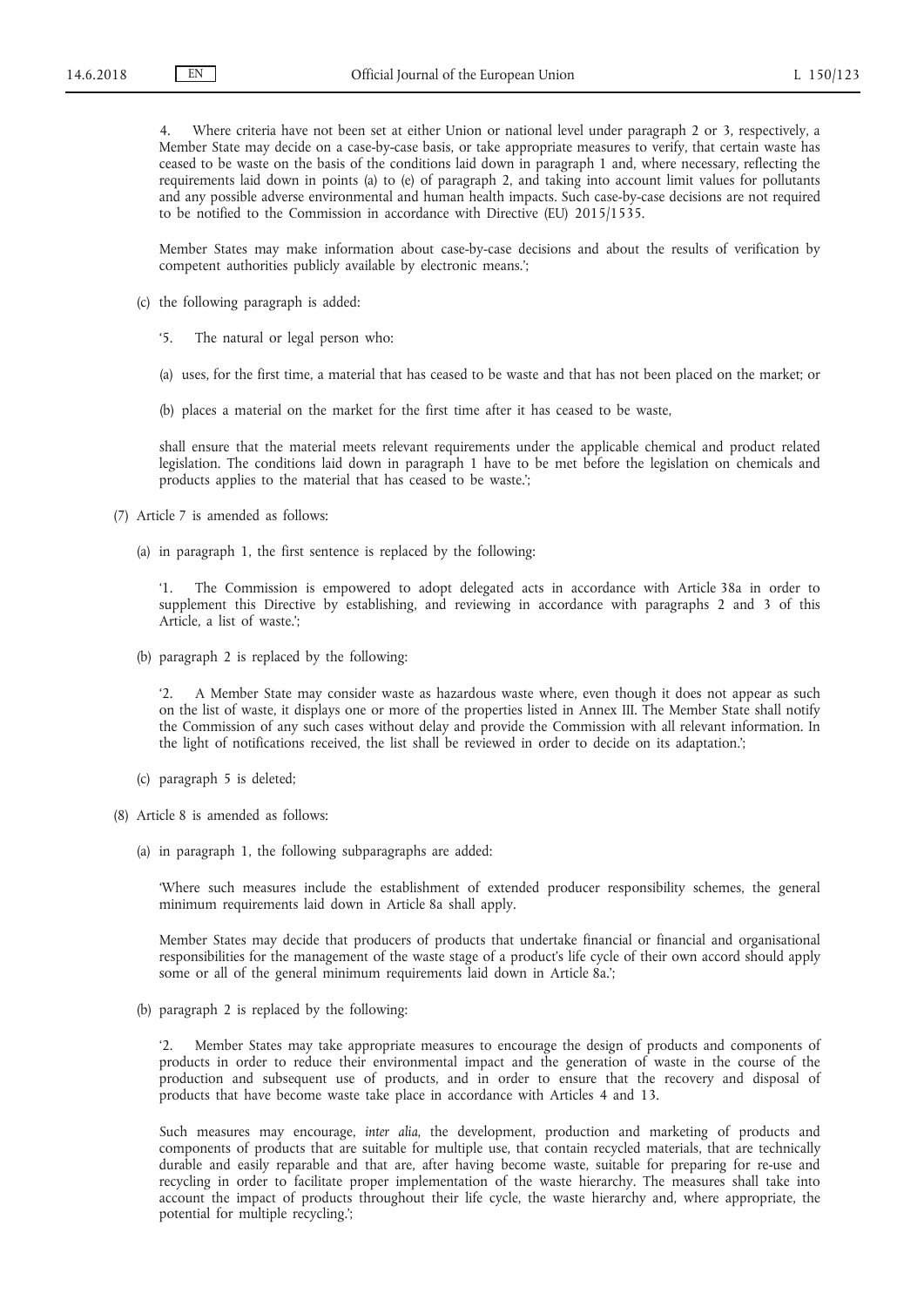Where criteria have not been set at either Union or national level under paragraph 2 or 3, respectively, a Member State may decide on a case-by-case basis, or take appropriate measures to verify, that certain waste has ceased to be waste on the basis of the conditions laid down in paragraph 1 and, where necessary, reflecting the requirements laid down in points (a) to (e) of paragraph 2, and taking into account limit values for pollutants and any possible adverse environmental and human health impacts. Such case-by-case decisions are not required to be notified to the Commission in accordance with Directive (EU) 2015/1535.

Member States may make information about case-by-case decisions and about the results of verification by competent authorities publicly available by electronic means.';

- (c) the following paragraph is added:
	- '5. The natural or legal person who:
	- (a) uses, for the first time, a material that has ceased to be waste and that has not been placed on the market; or
	- (b) places a material on the market for the first time after it has ceased to be waste,

shall ensure that the material meets relevant requirements under the applicable chemical and product related legislation. The conditions laid down in paragraph 1 have to be met before the legislation on chemicals and products applies to the material that has ceased to be waste.';

(7) Article 7 is amended as follows:

(a) in paragraph 1, the first sentence is replaced by the following:

The Commission is empowered to adopt delegated acts in accordance with Article 38a in order to supplement this Directive by establishing, and reviewing in accordance with paragraphs 2 and 3 of this Article, a list of waste.';

(b) paragraph 2 is replaced by the following:

'2. A Member State may consider waste as hazardous waste where, even though it does not appear as such on the list of waste, it displays one or more of the properties listed in Annex III. The Member State shall notify the Commission of any such cases without delay and provide the Commission with all relevant information. In the light of notifications received, the list shall be reviewed in order to decide on its adaptation.';

- (c) paragraph 5 is deleted;
- (8) Article 8 is amended as follows:
	- (a) in paragraph 1, the following subparagraphs are added:

'Where such measures include the establishment of extended producer responsibility schemes, the general minimum requirements laid down in Article 8a shall apply.

Member States may decide that producers of products that undertake financial or financial and organisational responsibilities for the management of the waste stage of a product's life cycle of their own accord should apply some or all of the general minimum requirements laid down in Article 8a.';

(b) paragraph 2 is replaced by the following:

'2. Member States may take appropriate measures to encourage the design of products and components of products in order to reduce their environmental impact and the generation of waste in the course of the production and subsequent use of products, and in order to ensure that the recovery and disposal of products that have become waste take place in accordance with Articles 4 and 13.

Such measures may encourage, *inter alia*, the development, production and marketing of products and components of products that are suitable for multiple use, that contain recycled materials, that are technically durable and easily reparable and that are, after having become waste, suitable for preparing for re-use and recycling in order to facilitate proper implementation of the waste hierarchy. The measures shall take into account the impact of products throughout their life cycle, the waste hierarchy and, where appropriate, the potential for multiple recycling.';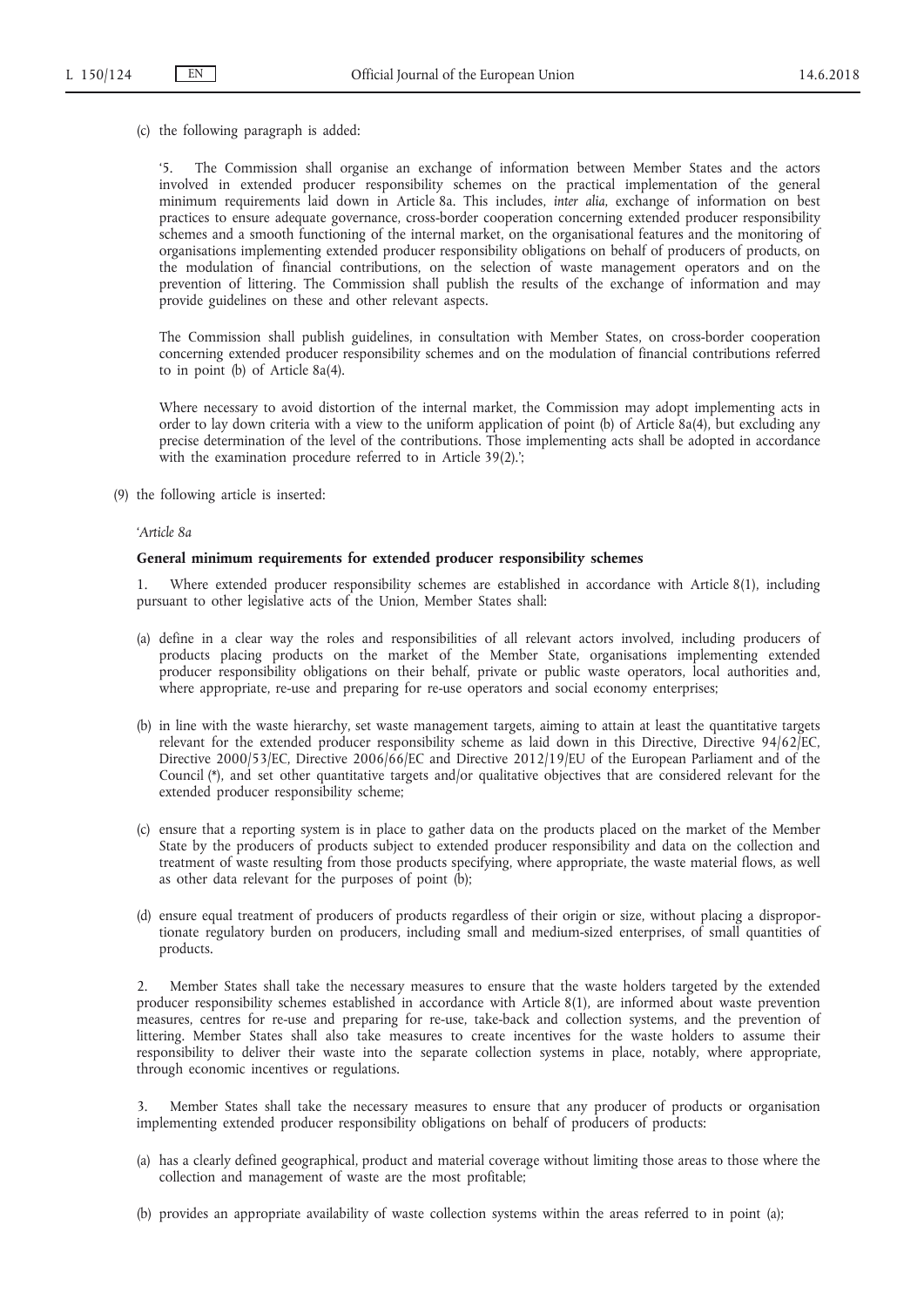(c) the following paragraph is added:

'5. The Commission shall organise an exchange of information between Member States and the actors involved in extended producer responsibility schemes on the practical implementation of the general minimum requirements laid down in Article 8a. This includes, *inter alia*, exchange of information on best practices to ensure adequate governance, cross-border cooperation concerning extended producer responsibility schemes and a smooth functioning of the internal market, on the organisational features and the monitoring of organisations implementing extended producer responsibility obligations on behalf of producers of products, on the modulation of financial contributions, on the selection of waste management operators and on the prevention of littering. The Commission shall publish the results of the exchange of information and may provide guidelines on these and other relevant aspects.

The Commission shall publish guidelines, in consultation with Member States, on cross-border cooperation concerning extended producer responsibility schemes and on the modulation of financial contributions referred to in point (b) of Article 8a(4).

Where necessary to avoid distortion of the internal market, the Commission may adopt implementing acts in order to lay down criteria with a view to the uniform application of point (b) of Article 8a(4), but excluding any precise determination of the level of the contributions. Those implementing acts shall be adopted in accordance with the examination procedure referred to in Article 39(2).';

(9) the following article is inserted:

#### *'Article 8a*

### **General minimum requirements for extended producer responsibility schemes**

1. Where extended producer responsibility schemes are established in accordance with Article 8(1), including pursuant to other legislative acts of the Union, Member States shall:

- (a) define in a clear way the roles and responsibilities of all relevant actors involved, including producers of products placing products on the market of the Member State, organisations implementing extended producer responsibility obligations on their behalf, private or public waste operators, local authorities and, where appropriate, re-use and preparing for re-use operators and social economy enterprises;
- (b) in line with the waste hierarchy, set waste management targets, aiming to attain at least the quantitative targets relevant for the extended producer responsibility scheme as laid down in this Directive, Directive 94/62/EC, Directive 2000/53/EC, Directive 2006/66/EC and Directive 2012/19/EU of the European Parliament and of the Council (\*), and set other quantitative targets and/or qualitative objectives that are considered relevant for the extended producer responsibility scheme;
- (c) ensure that a reporting system is in place to gather data on the products placed on the market of the Member State by the producers of products subject to extended producer responsibility and data on the collection and treatment of waste resulting from those products specifying, where appropriate, the waste material flows, as well as other data relevant for the purposes of point (b);
- (d) ensure equal treatment of producers of products regardless of their origin or size, without placing a disproportionate regulatory burden on producers, including small and medium-sized enterprises, of small quantities of products.

2. Member States shall take the necessary measures to ensure that the waste holders targeted by the extended producer responsibility schemes established in accordance with Article 8(1), are informed about waste prevention measures, centres for re-use and preparing for re-use, take-back and collection systems, and the prevention of littering. Member States shall also take measures to create incentives for the waste holders to assume their responsibility to deliver their waste into the separate collection systems in place, notably, where appropriate, through economic incentives or regulations.

3. Member States shall take the necessary measures to ensure that any producer of products or organisation implementing extended producer responsibility obligations on behalf of producers of products:

- (a) has a clearly defined geographical, product and material coverage without limiting those areas to those where the collection and management of waste are the most profitable;
- (b) provides an appropriate availability of waste collection systems within the areas referred to in point (a);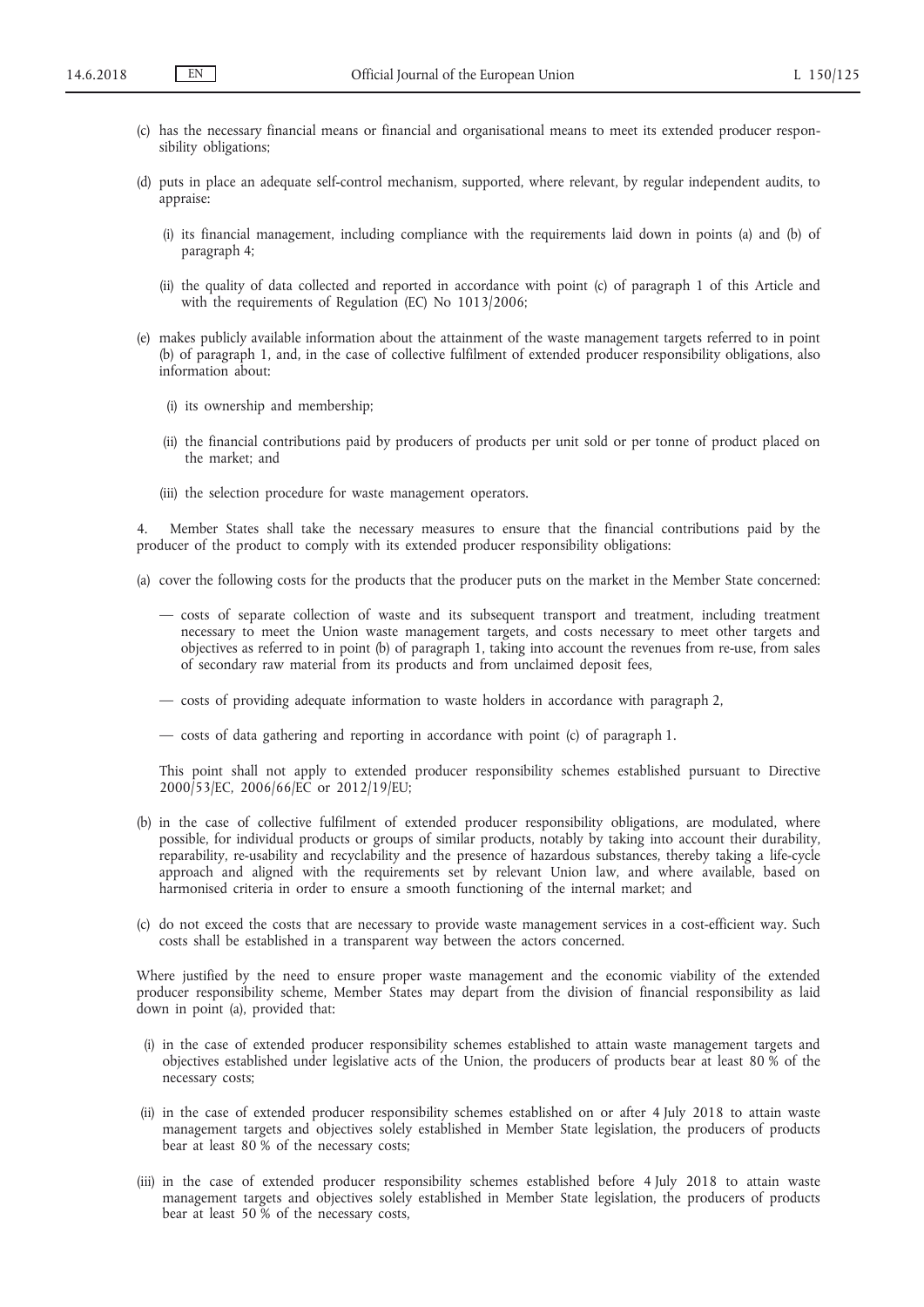- (c) has the necessary financial means or financial and organisational means to meet its extended producer responsibility obligations;
- (d) puts in place an adequate self-control mechanism, supported, where relevant, by regular independent audits, to appraise:
	- (i) its financial management, including compliance with the requirements laid down in points (a) and (b) of paragraph 4;
	- (ii) the quality of data collected and reported in accordance with point (c) of paragraph 1 of this Article and with the requirements of Regulation (EC) No 1013/2006;
- (e) makes publicly available information about the attainment of the waste management targets referred to in point (b) of paragraph 1, and, in the case of collective fulfilment of extended producer responsibility obligations, also information about:
	- (i) its ownership and membership;
	- (ii) the financial contributions paid by producers of products per unit sold or per tonne of product placed on the market; and
	- (iii) the selection procedure for waste management operators.

4. Member States shall take the necessary measures to ensure that the financial contributions paid by the producer of the product to comply with its extended producer responsibility obligations:

- (a) cover the following costs for the products that the producer puts on the market in the Member State concerned:
	- costs of separate collection of waste and its subsequent transport and treatment, including treatment necessary to meet the Union waste management targets, and costs necessary to meet other targets and objectives as referred to in point (b) of paragraph 1, taking into account the revenues from re-use, from sales of secondary raw material from its products and from unclaimed deposit fees,
	- costs of providing adequate information to waste holders in accordance with paragraph 2,
	- costs of data gathering and reporting in accordance with point (c) of paragraph 1.

This point shall not apply to extended producer responsibility schemes established pursuant to Directive 2000/53/EC, 2006/66/EC or 2012/19/EU;

- (b) in the case of collective fulfilment of extended producer responsibility obligations, are modulated, where possible, for individual products or groups of similar products, notably by taking into account their durability, reparability, re-usability and recyclability and the presence of hazardous substances, thereby taking a life-cycle approach and aligned with the requirements set by relevant Union law, and where available, based on harmonised criteria in order to ensure a smooth functioning of the internal market; and
- (c) do not exceed the costs that are necessary to provide waste management services in a cost-efficient way. Such costs shall be established in a transparent way between the actors concerned.

Where justified by the need to ensure proper waste management and the economic viability of the extended producer responsibility scheme, Member States may depart from the division of financial responsibility as laid down in point (a), provided that:

- (i) in the case of extended producer responsibility schemes established to attain waste management targets and objectives established under legislative acts of the Union, the producers of products bear at least 80 % of the necessary costs;
- (ii) in the case of extended producer responsibility schemes established on or after 4 July 2018 to attain waste management targets and objectives solely established in Member State legislation, the producers of products bear at least 80 % of the necessary costs;
- (iii) in the case of extended producer responsibility schemes established before 4 July 2018 to attain waste management targets and objectives solely established in Member State legislation, the producers of products bear at least 50 % of the necessary costs,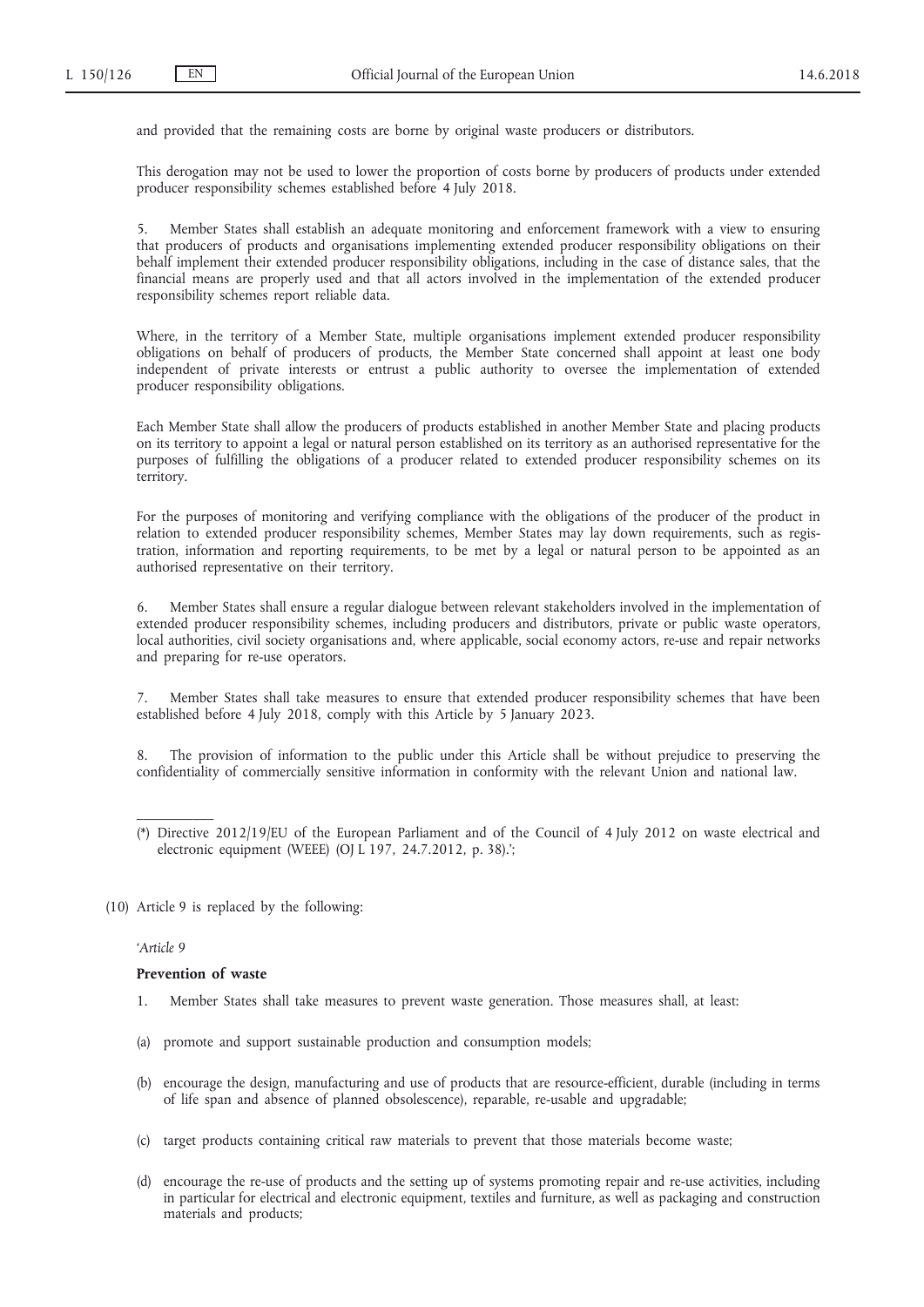and provided that the remaining costs are borne by original waste producers or distributors.

This derogation may not be used to lower the proportion of costs borne by producers of products under extended producer responsibility schemes established before 4 July 2018.

5. Member States shall establish an adequate monitoring and enforcement framework with a view to ensuring that producers of products and organisations implementing extended producer responsibility obligations on their behalf implement their extended producer responsibility obligations, including in the case of distance sales, that the financial means are properly used and that all actors involved in the implementation of the extended producer responsibility schemes report reliable data.

Where, in the territory of a Member State, multiple organisations implement extended producer responsibility obligations on behalf of producers of products, the Member State concerned shall appoint at least one body independent of private interests or entrust a public authority to oversee the implementation of extended producer responsibility obligations.

Each Member State shall allow the producers of products established in another Member State and placing products on its territory to appoint a legal or natural person established on its territory as an authorised representative for the purposes of fulfilling the obligations of a producer related to extended producer responsibility schemes on its territory.

For the purposes of monitoring and verifying compliance with the obligations of the producer of the product in relation to extended producer responsibility schemes, Member States may lay down requirements, such as registration, information and reporting requirements, to be met by a legal or natural person to be appointed as an authorised representative on their territory.

6. Member States shall ensure a regular dialogue between relevant stakeholders involved in the implementation of extended producer responsibility schemes, including producers and distributors, private or public waste operators, local authorities, civil society organisations and, where applicable, social economy actors, re-use and repair networks and preparing for re-use operators.

7. Member States shall take measures to ensure that extended producer responsibility schemes that have been established before 4 July 2018, comply with this Article by 5 January 2023.

8. The provision of information to the public under this Article shall be without prejudice to preserving the confidentiality of commercially sensitive information in conformity with the relevant Union and national law.

(10) Article 9 is replaced by the following:

## *'Article 9*

 $\mathcal{L}=\mathcal{L}$ 

#### **Prevention of waste**

- 1. Member States shall take measures to prevent waste generation. Those measures shall, at least:
- (a) promote and support sustainable production and consumption models;
- (b) encourage the design, manufacturing and use of products that are resource-efficient, durable (including in terms of life span and absence of planned obsolescence), reparable, re-usable and upgradable;
- (c) target products containing critical raw materials to prevent that those materials become waste;
- (d) encourage the re-use of products and the setting up of systems promoting repair and re-use activities, including in particular for electrical and electronic equipment, textiles and furniture, as well as packaging and construction materials and products;

<sup>(\*)</sup> Directive 2012/19/EU of the European Parliament and of the Council of 4 July 2012 on waste electrical and electronic equipment (WEEE) (OJ L 197, 24.7.2012, p. 38).';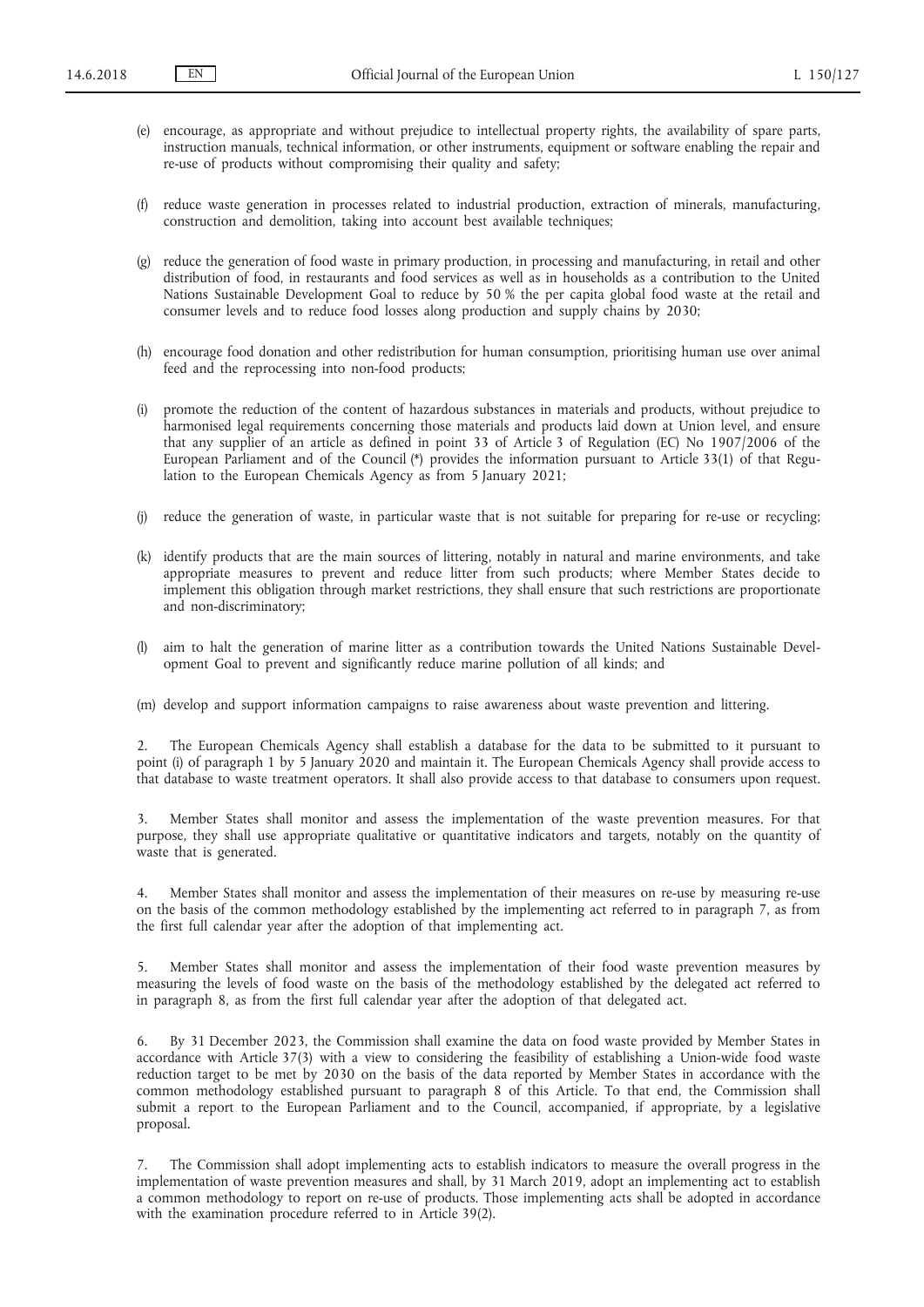- (e) encourage, as appropriate and without prejudice to intellectual property rights, the availability of spare parts, instruction manuals, technical information, or other instruments, equipment or software enabling the repair and re-use of products without compromising their quality and safety;
- (f) reduce waste generation in processes related to industrial production, extraction of minerals, manufacturing, construction and demolition, taking into account best available techniques;
- (g) reduce the generation of food waste in primary production, in processing and manufacturing, in retail and other distribution of food, in restaurants and food services as well as in households as a contribution to the United Nations Sustainable Development Goal to reduce by 50 % the per capita global food waste at the retail and consumer levels and to reduce food losses along production and supply chains by 2030;
- (h) encourage food donation and other redistribution for human consumption, prioritising human use over animal feed and the reprocessing into non-food products;
- (i) promote the reduction of the content of hazardous substances in materials and products, without prejudice to harmonised legal requirements concerning those materials and products laid down at Union level, and ensure that any supplier of an article as defined in point 33 of Article 3 of Regulation (EC) No 1907/2006 of the European Parliament and of the Council (\*) provides the information pursuant to Article 33(1) of that Regulation to the European Chemicals Agency as from 5 January 2021;
- (j) reduce the generation of waste, in particular waste that is not suitable for preparing for re-use or recycling;
- (k) identify products that are the main sources of littering, notably in natural and marine environments, and take appropriate measures to prevent and reduce litter from such products; where Member States decide to implement this obligation through market restrictions, they shall ensure that such restrictions are proportionate and non-discriminatory;
- (l) aim to halt the generation of marine litter as a contribution towards the United Nations Sustainable Development Goal to prevent and significantly reduce marine pollution of all kinds; and

(m) develop and support information campaigns to raise awareness about waste prevention and littering.

2. The European Chemicals Agency shall establish a database for the data to be submitted to it pursuant to point (i) of paragraph 1 by 5 January 2020 and maintain it. The European Chemicals Agency shall provide access to that database to waste treatment operators. It shall also provide access to that database to consumers upon request.

3. Member States shall monitor and assess the implementation of the waste prevention measures. For that purpose, they shall use appropriate qualitative or quantitative indicators and targets, notably on the quantity of waste that is generated.

4. Member States shall monitor and assess the implementation of their measures on re-use by measuring re-use on the basis of the common methodology established by the implementing act referred to in paragraph 7, as from the first full calendar year after the adoption of that implementing act.

5. Member States shall monitor and assess the implementation of their food waste prevention measures by measuring the levels of food waste on the basis of the methodology established by the delegated act referred to in paragraph 8, as from the first full calendar year after the adoption of that delegated act.

6. By 31 December 2023, the Commission shall examine the data on food waste provided by Member States in accordance with Article 37(3) with a view to considering the feasibility of establishing a Union-wide food waste reduction target to be met by 2030 on the basis of the data reported by Member States in accordance with the common methodology established pursuant to paragraph 8 of this Article. To that end, the Commission shall submit a report to the European Parliament and to the Council, accompanied, if appropriate, by a legislative proposal.

7. The Commission shall adopt implementing acts to establish indicators to measure the overall progress in the implementation of waste prevention measures and shall, by 31 March 2019, adopt an implementing act to establish a common methodology to report on re-use of products. Those implementing acts shall be adopted in accordance with the examination procedure referred to in Article 39(2).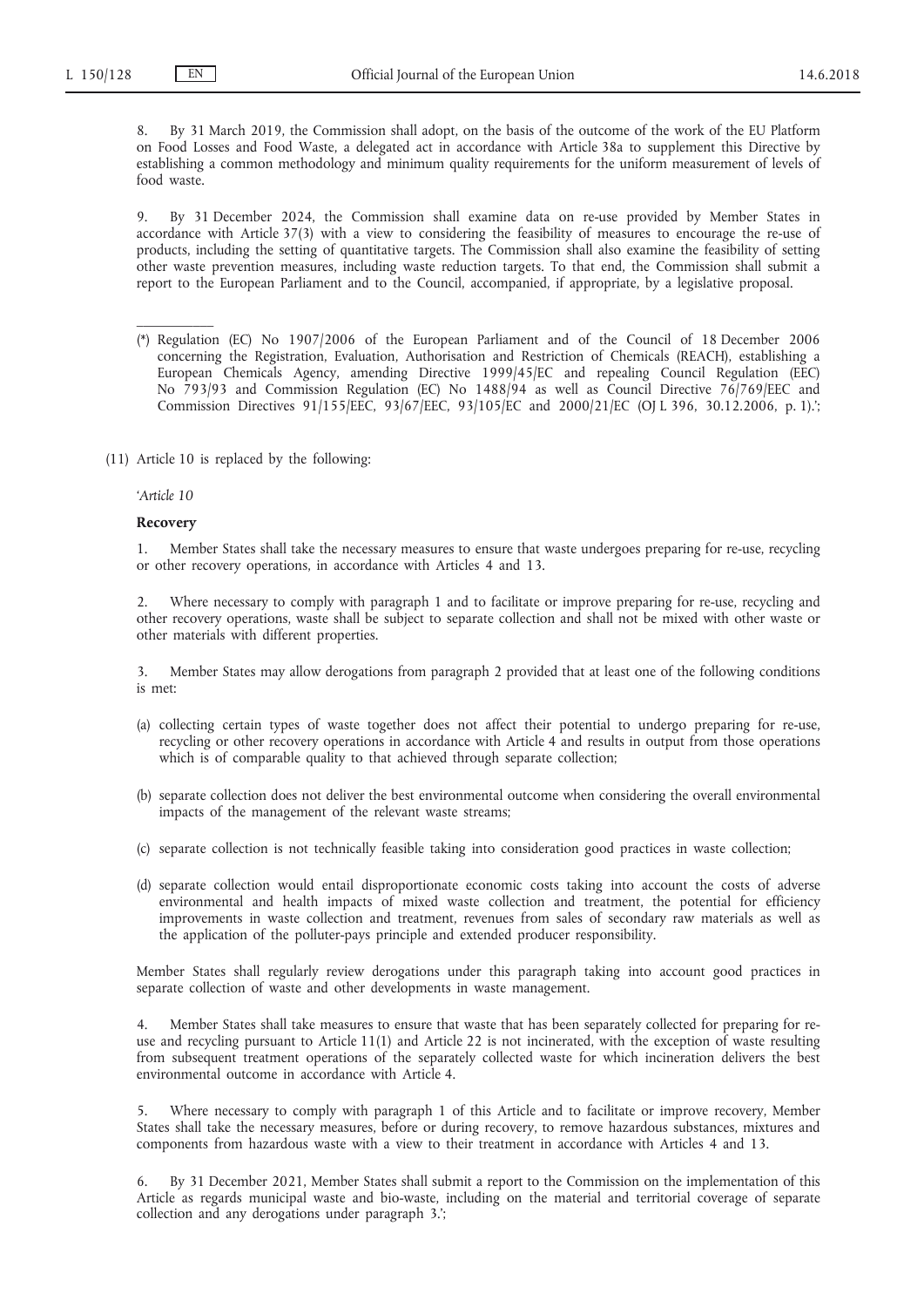8. By 31 March 2019, the Commission shall adopt, on the basis of the outcome of the work of the EU Platform on Food Losses and Food Waste, a delegated act in accordance with Article 38a to supplement this Directive by establishing a common methodology and minimum quality requirements for the uniform measurement of levels of food waste.

9. By 31 December 2024, the Commission shall examine data on re-use provided by Member States in accordance with Article 37(3) with a view to considering the feasibility of measures to encourage the re-use of products, including the setting of quantitative targets. The Commission shall also examine the feasibility of setting other waste prevention measures, including waste reduction targets. To that end, the Commission shall submit a report to the European Parliament and to the Council, accompanied, if appropriate, by a legislative proposal.

- (\*) Regulation (EC) No 1907/2006 of the European Parliament and of the Council of 18 December 2006 concerning the Registration, Evaluation, Authorisation and Restriction of Chemicals (REACH), establishing a European Chemicals Agency, amending Directive 1999/45/EC and repealing Council Regulation (EEC) No 793/93 and Commission Regulation (EC) No 1488/94 as well as Council Directive 76/769/EEC and Commission Directives 91/155/EEC, 93/67/EEC, 93/105/EC and 2000/21/EC (OJ L 396, 30.12.2006, p. 1).';
- (11) Article 10 is replaced by the following:

# *'Article 10*

 $\mathcal{L}=\mathcal{L}$ 

#### **Recovery**

1. Member States shall take the necessary measures to ensure that waste undergoes preparing for re-use, recycling or other recovery operations, in accordance with Articles 4 and 13.

2. Where necessary to comply with paragraph 1 and to facilitate or improve preparing for re-use, recycling and other recovery operations, waste shall be subject to separate collection and shall not be mixed with other waste or other materials with different properties.

3. Member States may allow derogations from paragraph 2 provided that at least one of the following conditions is met:

- (a) collecting certain types of waste together does not affect their potential to undergo preparing for re-use, recycling or other recovery operations in accordance with Article 4 and results in output from those operations which is of comparable quality to that achieved through separate collection;
- (b) separate collection does not deliver the best environmental outcome when considering the overall environmental impacts of the management of the relevant waste streams;
- (c) separate collection is not technically feasible taking into consideration good practices in waste collection;
- (d) separate collection would entail disproportionate economic costs taking into account the costs of adverse environmental and health impacts of mixed waste collection and treatment, the potential for efficiency improvements in waste collection and treatment, revenues from sales of secondary raw materials as well as the application of the polluter-pays principle and extended producer responsibility.

Member States shall regularly review derogations under this paragraph taking into account good practices in separate collection of waste and other developments in waste management.

4. Member States shall take measures to ensure that waste that has been separately collected for preparing for reuse and recycling pursuant to Article 11(1) and Article 22 is not incinerated, with the exception of waste resulting from subsequent treatment operations of the separately collected waste for which incineration delivers the best environmental outcome in accordance with Article 4.

5. Where necessary to comply with paragraph 1 of this Article and to facilitate or improve recovery, Member States shall take the necessary measures, before or during recovery, to remove hazardous substances, mixtures and components from hazardous waste with a view to their treatment in accordance with Articles 4 and 13.

6. By 31 December 2021, Member States shall submit a report to the Commission on the implementation of this Article as regards municipal waste and bio-waste, including on the material and territorial coverage of separate collection and any derogations under paragraph 3.';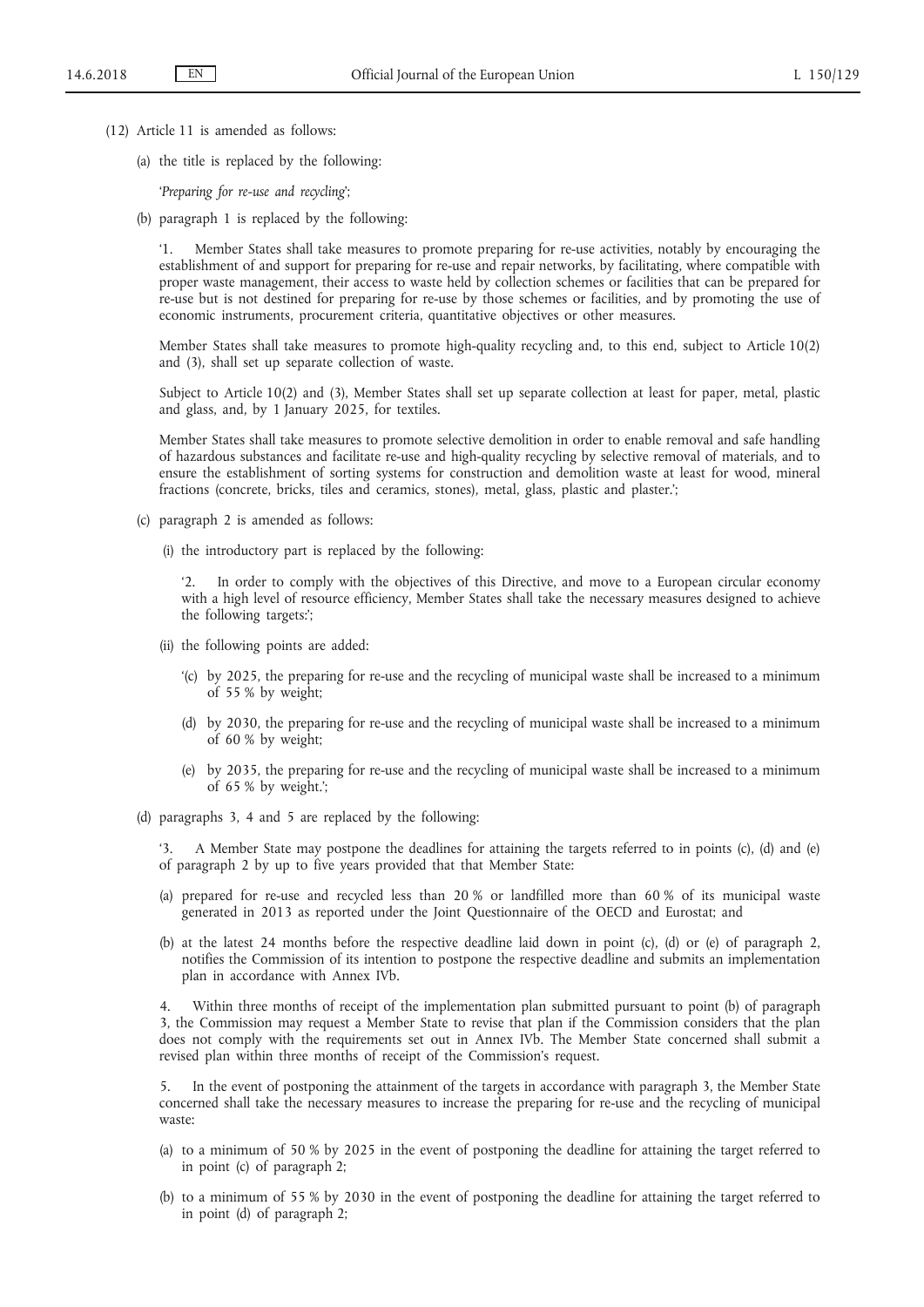- (12) Article 11 is amended as follows:
	- (a) the title is replaced by the following:

'*Preparing for re-use and recycling*';

(b) paragraph 1 is replaced by the following:

'1. Member States shall take measures to promote preparing for re-use activities, notably by encouraging the establishment of and support for preparing for re-use and repair networks, by facilitating, where compatible with proper waste management, their access to waste held by collection schemes or facilities that can be prepared for re-use but is not destined for preparing for re-use by those schemes or facilities, and by promoting the use of economic instruments, procurement criteria, quantitative objectives or other measures.

Member States shall take measures to promote high-quality recycling and, to this end, subject to Article 10(2) and (3), shall set up separate collection of waste.

Subject to Article 10(2) and (3), Member States shall set up separate collection at least for paper, metal, plastic and glass, and, by 1 January 2025, for textiles.

Member States shall take measures to promote selective demolition in order to enable removal and safe handling of hazardous substances and facilitate re-use and high-quality recycling by selective removal of materials, and to ensure the establishment of sorting systems for construction and demolition waste at least for wood, mineral fractions (concrete, bricks, tiles and ceramics, stones), metal, glass, plastic and plaster.';

- (c) paragraph 2 is amended as follows:
	- (i) the introductory part is replaced by the following:

In order to comply with the objectives of this Directive, and move to a European circular economy with a high level of resource efficiency, Member States shall take the necessary measures designed to achieve the following targets:';

- (ii) the following points are added:
	- '(c) by 2025, the preparing for re-use and the recycling of municipal waste shall be increased to a minimum of 55 % by weight;
	- (d) by 2030, the preparing for re-use and the recycling of municipal waste shall be increased to a minimum of 60 % by weight;
	- (e) by 2035, the preparing for re-use and the recycling of municipal waste shall be increased to a minimum of 65 % by weight.';
- (d) paragraphs 3, 4 and 5 are replaced by the following:

'3. A Member State may postpone the deadlines for attaining the targets referred to in points (c), (d) and (e) of paragraph 2 by up to five years provided that that Member State:

- (a) prepared for re-use and recycled less than 20 % or landfilled more than 60 % of its municipal waste generated in 2013 as reported under the Joint Questionnaire of the OECD and Eurostat; and
- (b) at the latest 24 months before the respective deadline laid down in point (c), (d) or (e) of paragraph 2, notifies the Commission of its intention to postpone the respective deadline and submits an implementation plan in accordance with Annex IVb.

4. Within three months of receipt of the implementation plan submitted pursuant to point (b) of paragraph 3, the Commission may request a Member State to revise that plan if the Commission considers that the plan does not comply with the requirements set out in Annex IVb. The Member State concerned shall submit a revised plan within three months of receipt of the Commission's request.

5. In the event of postponing the attainment of the targets in accordance with paragraph 3, the Member State concerned shall take the necessary measures to increase the preparing for re-use and the recycling of municipal waste:

- (a) to a minimum of 50 % by 2025 in the event of postponing the deadline for attaining the target referred to in point (c) of paragraph 2;
- (b) to a minimum of 55 % by 2030 in the event of postponing the deadline for attaining the target referred to in point (d) of paragraph 2;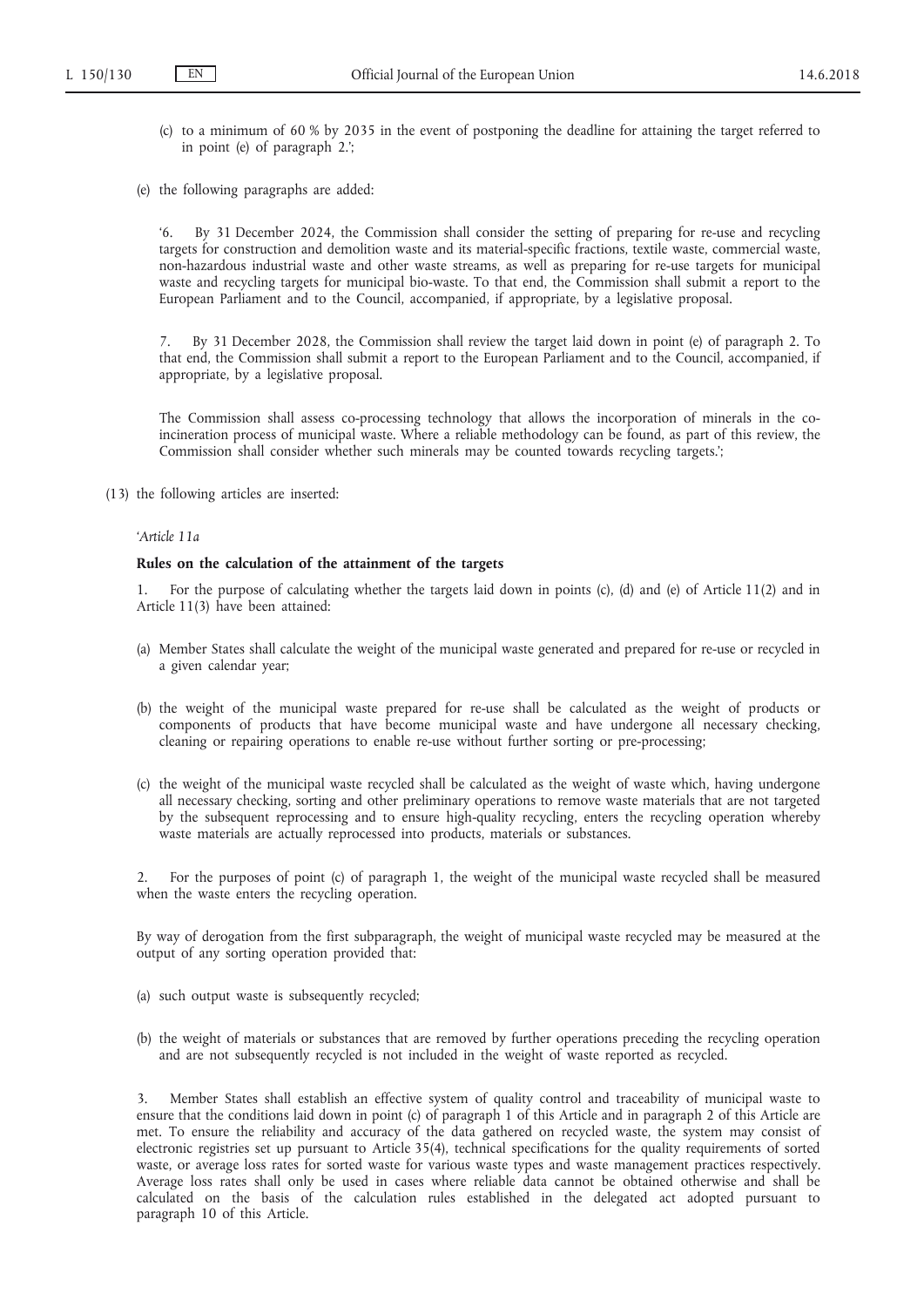- (c) to a minimum of 60 % by 2035 in the event of postponing the deadline for attaining the target referred to in point (e) of paragraph 2.';
- (e) the following paragraphs are added:

'6. By 31 December 2024, the Commission shall consider the setting of preparing for re-use and recycling targets for construction and demolition waste and its material-specific fractions, textile waste, commercial waste, non-hazardous industrial waste and other waste streams, as well as preparing for re-use targets for municipal waste and recycling targets for municipal bio-waste. To that end, the Commission shall submit a report to the European Parliament and to the Council, accompanied, if appropriate, by a legislative proposal.

7. By 31 December 2028, the Commission shall review the target laid down in point (e) of paragraph 2. To that end, the Commission shall submit a report to the European Parliament and to the Council, accompanied, if appropriate, by a legislative proposal.

The Commission shall assess co-processing technology that allows the incorporation of minerals in the coincineration process of municipal waste. Where a reliable methodology can be found, as part of this review, the Commission shall consider whether such minerals may be counted towards recycling targets.';

(13) the following articles are inserted:

# *'Article 11a*

### **Rules on the calculation of the attainment of the targets**

1. For the purpose of calculating whether the targets laid down in points (c), (d) and (e) of Article 11(2) and in Article 11(3) have been attained:

- (a) Member States shall calculate the weight of the municipal waste generated and prepared for re-use or recycled in a given calendar year;
- (b) the weight of the municipal waste prepared for re-use shall be calculated as the weight of products or components of products that have become municipal waste and have undergone all necessary checking, cleaning or repairing operations to enable re-use without further sorting or pre-processing;
- (c) the weight of the municipal waste recycled shall be calculated as the weight of waste which, having undergone all necessary checking, sorting and other preliminary operations to remove waste materials that are not targeted by the subsequent reprocessing and to ensure high-quality recycling, enters the recycling operation whereby waste materials are actually reprocessed into products, materials or substances.

2. For the purposes of point (c) of paragraph 1, the weight of the municipal waste recycled shall be measured when the waste enters the recycling operation.

By way of derogation from the first subparagraph, the weight of municipal waste recycled may be measured at the output of any sorting operation provided that:

- (a) such output waste is subsequently recycled;
- (b) the weight of materials or substances that are removed by further operations preceding the recycling operation and are not subsequently recycled is not included in the weight of waste reported as recycled.

3. Member States shall establish an effective system of quality control and traceability of municipal waste to ensure that the conditions laid down in point (c) of paragraph 1 of this Article and in paragraph 2 of this Article are met. To ensure the reliability and accuracy of the data gathered on recycled waste, the system may consist of electronic registries set up pursuant to Article 35(4), technical specifications for the quality requirements of sorted waste, or average loss rates for sorted waste for various waste types and waste management practices respectively. Average loss rates shall only be used in cases where reliable data cannot be obtained otherwise and shall be calculated on the basis of the calculation rules established in the delegated act adopted pursuant to paragraph 10 of this Article.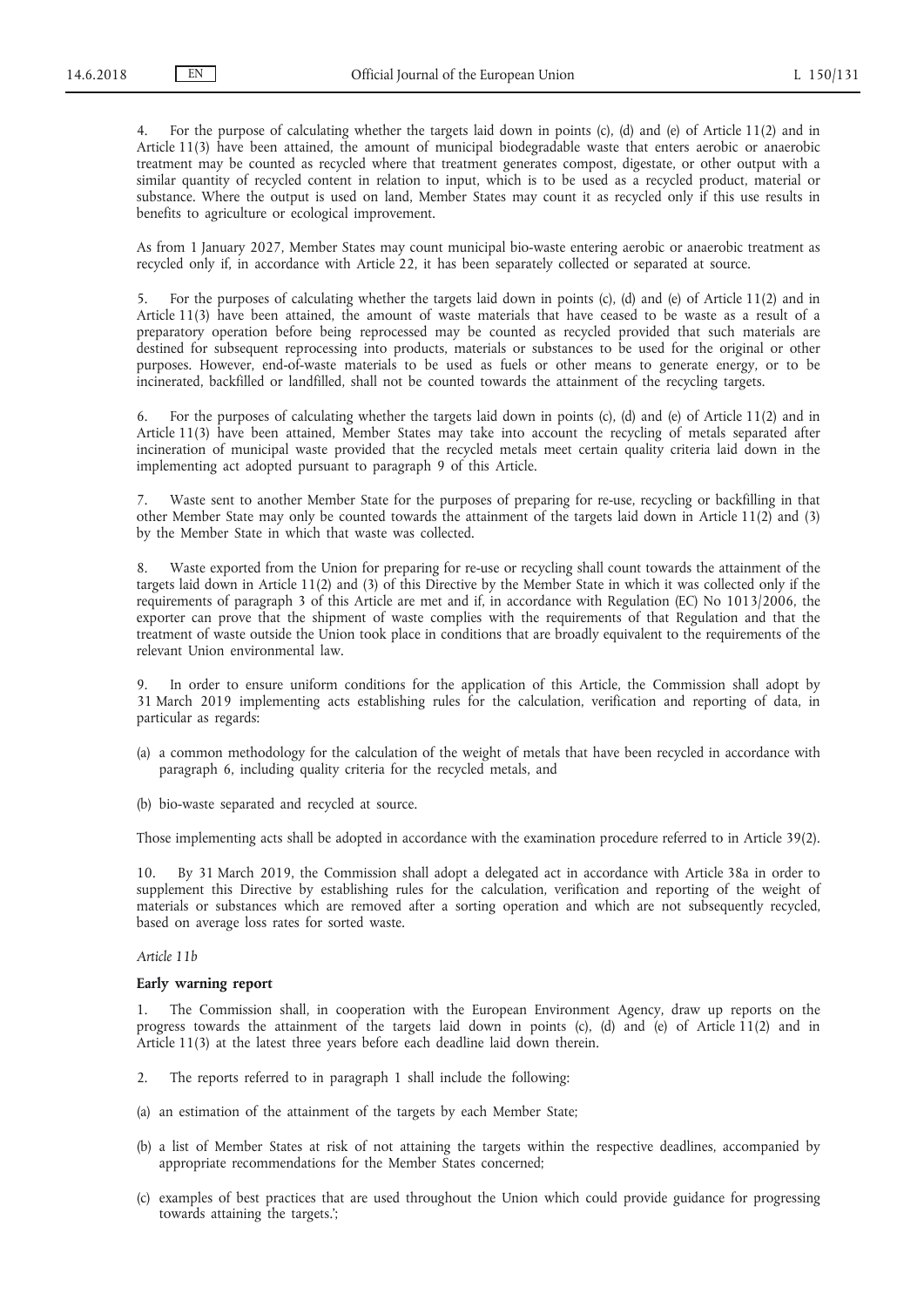4. For the purpose of calculating whether the targets laid down in points (c), (d) and (e) of Article 11(2) and in Article 11(3) have been attained, the amount of municipal biodegradable waste that enters aerobic or anaerobic treatment may be counted as recycled where that treatment generates compost, digestate, or other output with a similar quantity of recycled content in relation to input, which is to be used as a recycled product, material or substance. Where the output is used on land, Member States may count it as recycled only if this use results in benefits to agriculture or ecological improvement.

As from 1 January 2027, Member States may count municipal bio-waste entering aerobic or anaerobic treatment as recycled only if, in accordance with Article 22, it has been separately collected or separated at source.

5. For the purposes of calculating whether the targets laid down in points (c), (d) and (e) of Article 11(2) and in Article 11(3) have been attained, the amount of waste materials that have ceased to be waste as a result of a preparatory operation before being reprocessed may be counted as recycled provided that such materials are destined for subsequent reprocessing into products, materials or substances to be used for the original or other purposes. However, end-of-waste materials to be used as fuels or other means to generate energy, or to be incinerated, backfilled or landfilled, shall not be counted towards the attainment of the recycling targets.

6. For the purposes of calculating whether the targets laid down in points (c), (d) and (e) of Article 11(2) and in Article 11(3) have been attained, Member States may take into account the recycling of metals separated after incineration of municipal waste provided that the recycled metals meet certain quality criteria laid down in the implementing act adopted pursuant to paragraph 9 of this Article.

7. Waste sent to another Member State for the purposes of preparing for re-use, recycling or backfilling in that other Member State may only be counted towards the attainment of the targets laid down in Article 11(2) and (3) by the Member State in which that waste was collected.

8. Waste exported from the Union for preparing for re-use or recycling shall count towards the attainment of the targets laid down in Article 11(2) and (3) of this Directive by the Member State in which it was collected only if the requirements of paragraph 3 of this Article are met and if, in accordance with Regulation (EC) No 1013/2006, the exporter can prove that the shipment of waste complies with the requirements of that Regulation and that the treatment of waste outside the Union took place in conditions that are broadly equivalent to the requirements of the relevant Union environmental law.

9. In order to ensure uniform conditions for the application of this Article, the Commission shall adopt by 31 March 2019 implementing acts establishing rules for the calculation, verification and reporting of data, in particular as regards:

- (a) a common methodology for the calculation of the weight of metals that have been recycled in accordance with paragraph 6, including quality criteria for the recycled metals, and
- (b) bio-waste separated and recycled at source.

Those implementing acts shall be adopted in accordance with the examination procedure referred to in Article 39(2).

10. By 31 March 2019, the Commission shall adopt a delegated act in accordance with Article 38a in order to supplement this Directive by establishing rules for the calculation, verification and reporting of the weight of materials or substances which are removed after a sorting operation and which are not subsequently recycled, based on average loss rates for sorted waste.

#### *Article 11b*

#### **Early warning report**

The Commission shall, in cooperation with the European Environment Agency, draw up reports on the progress towards the attainment of the targets laid down in points (c), (d) and (e) of Article 11(2) and in Article 11(3) at the latest three years before each deadline laid down therein.

- 2. The reports referred to in paragraph 1 shall include the following:
- (a) an estimation of the attainment of the targets by each Member State;
- (b) a list of Member States at risk of not attaining the targets within the respective deadlines, accompanied by appropriate recommendations for the Member States concerned;
- (c) examples of best practices that are used throughout the Union which could provide guidance for progressing towards attaining the targets.';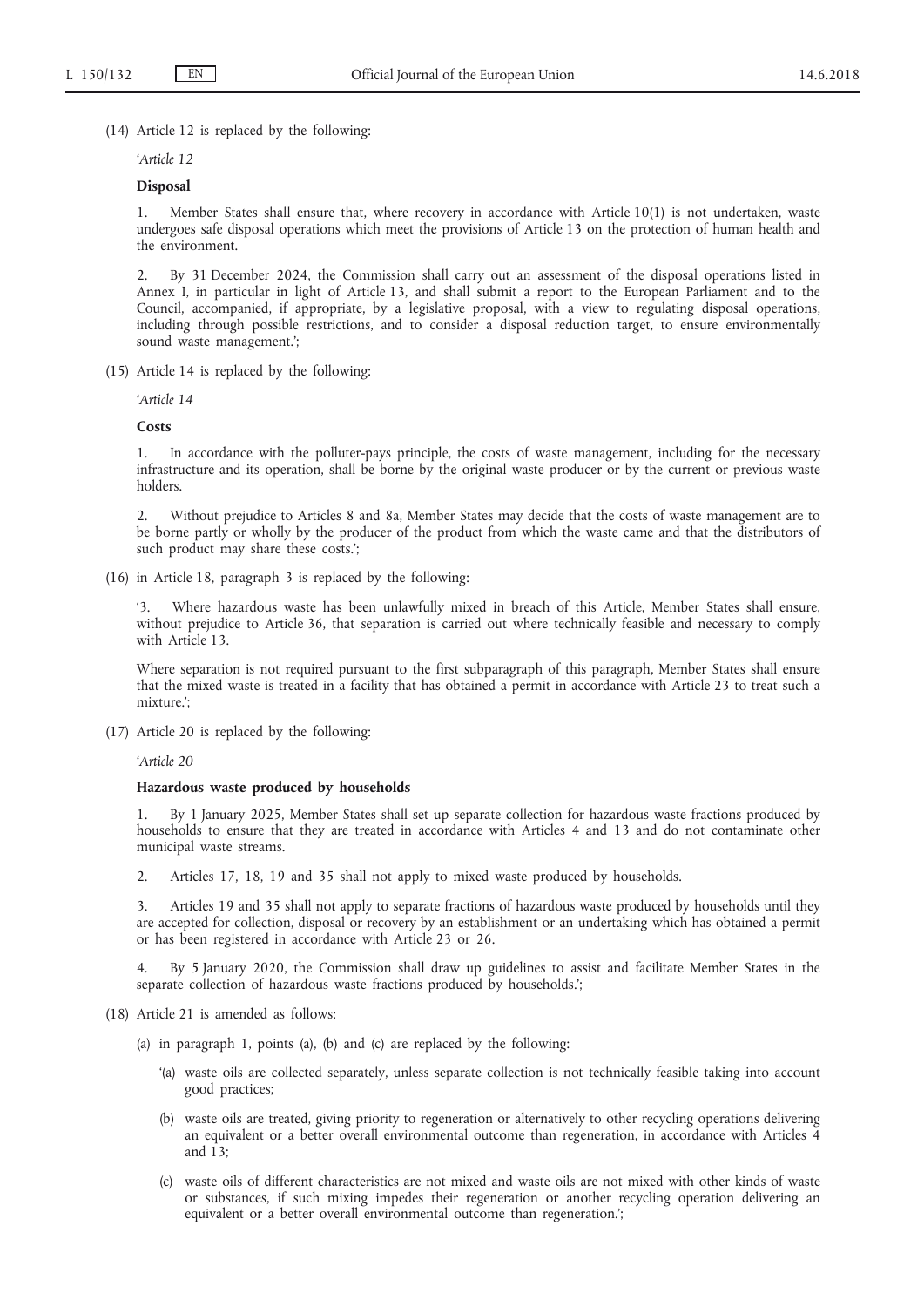(14) Article 12 is replaced by the following:

*'Article 12*

### **Disposal**

1. Member States shall ensure that, where recovery in accordance with Article 10(1) is not undertaken, waste undergoes safe disposal operations which meet the provisions of Article 13 on the protection of human health and the environment.

2. By 31 December 2024, the Commission shall carry out an assessment of the disposal operations listed in Annex I, in particular in light of Article 13, and shall submit a report to the European Parliament and to the Council, accompanied, if appropriate, by a legislative proposal, with a view to regulating disposal operations, including through possible restrictions, and to consider a disposal reduction target, to ensure environmentally sound waste management.';

(15) Article 14 is replaced by the following:

*'Article 14*

#### **Costs**

1. In accordance with the polluter-pays principle, the costs of waste management, including for the necessary infrastructure and its operation, shall be borne by the original waste producer or by the current or previous waste holders.

2. Without prejudice to Articles 8 and 8a, Member States may decide that the costs of waste management are to be borne partly or wholly by the producer of the product from which the waste came and that the distributors of such product may share these costs.';

(16) in Article 18, paragraph 3 is replaced by the following:

Where hazardous waste has been unlawfully mixed in breach of this Article, Member States shall ensure, without prejudice to Article 36, that separation is carried out where technically feasible and necessary to comply with Article 13.

Where separation is not required pursuant to the first subparagraph of this paragraph, Member States shall ensure that the mixed waste is treated in a facility that has obtained a permit in accordance with Article 23 to treat such a mixture.';

(17) Article 20 is replaced by the following:

*'Article 20*

# **Hazardous waste produced by households**

1. By 1 January 2025, Member States shall set up separate collection for hazardous waste fractions produced by households to ensure that they are treated in accordance with Articles 4 and 13 and do not contaminate other municipal waste streams.

2. Articles 17, 18, 19 and 35 shall not apply to mixed waste produced by households.

3. Articles 19 and 35 shall not apply to separate fractions of hazardous waste produced by households until they are accepted for collection, disposal or recovery by an establishment or an undertaking which has obtained a permit or has been registered in accordance with Article 23 or 26.

4. By 5 January 2020, the Commission shall draw up guidelines to assist and facilitate Member States in the separate collection of hazardous waste fractions produced by households.';

- (18) Article 21 is amended as follows:
	- (a) in paragraph 1, points (a), (b) and (c) are replaced by the following:
		- '(a) waste oils are collected separately, unless separate collection is not technically feasible taking into account good practices;
		- (b) waste oils are treated, giving priority to regeneration or alternatively to other recycling operations delivering an equivalent or a better overall environmental outcome than regeneration, in accordance with Articles 4 and  $13$ :
		- (c) waste oils of different characteristics are not mixed and waste oils are not mixed with other kinds of waste or substances, if such mixing impedes their regeneration or another recycling operation delivering an equivalent or a better overall environmental outcome than regeneration.';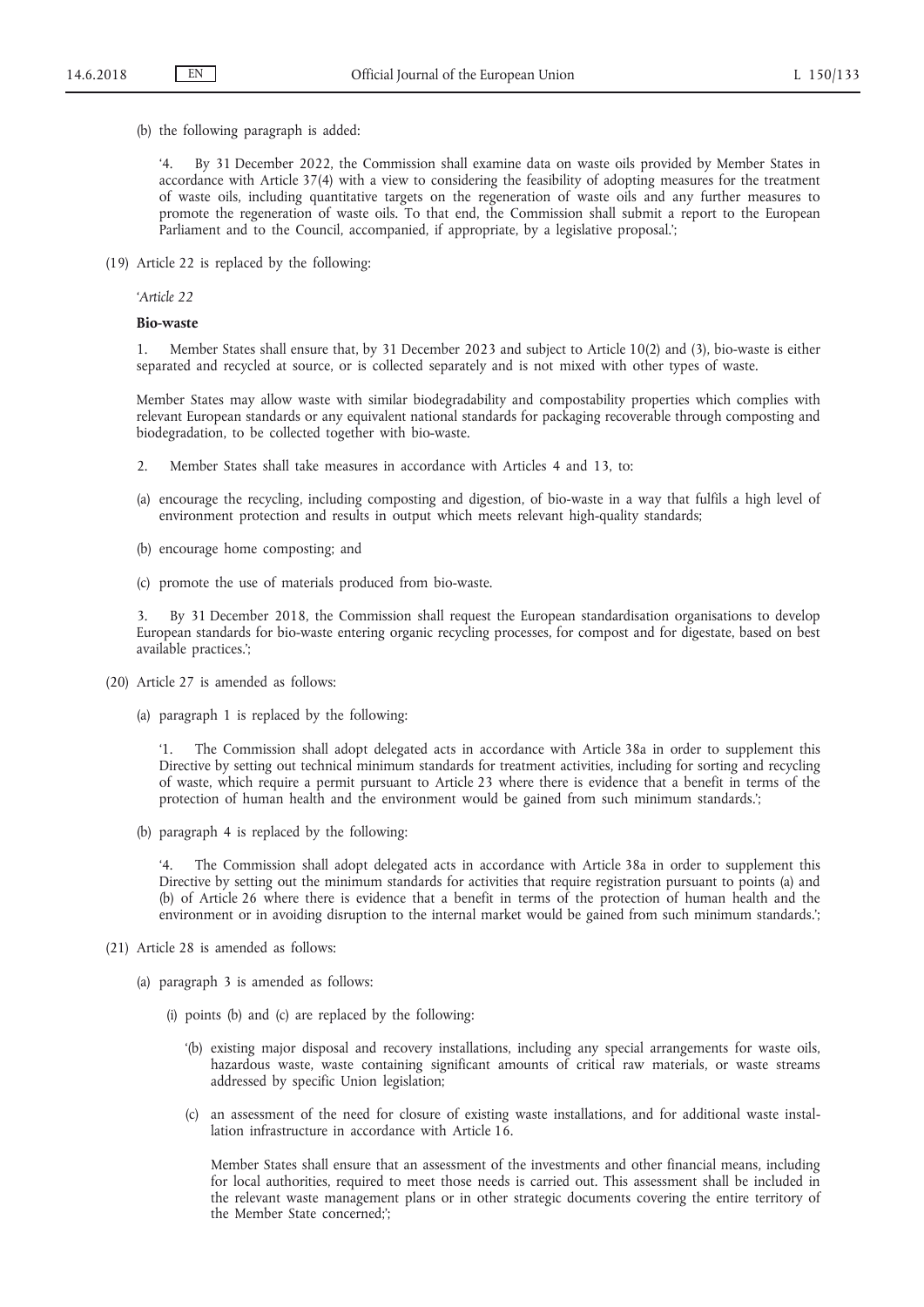(b) the following paragraph is added:

By 31 December 2022, the Commission shall examine data on waste oils provided by Member States in accordance with Article 37(4) with a view to considering the feasibility of adopting measures for the treatment of waste oils, including quantitative targets on the regeneration of waste oils and any further measures to promote the regeneration of waste oils. To that end, the Commission shall submit a report to the European Parliament and to the Council, accompanied, if appropriate, by a legislative proposal.';

(19) Article 22 is replaced by the following:

*'Article 22*

# **Bio-waste**

1. Member States shall ensure that, by 31 December 2023 and subject to Article 10(2) and (3), bio-waste is either separated and recycled at source, or is collected separately and is not mixed with other types of waste.

Member States may allow waste with similar biodegradability and compostability properties which complies with relevant European standards or any equivalent national standards for packaging recoverable through composting and biodegradation, to be collected together with bio-waste.

- 2. Member States shall take measures in accordance with Articles 4 and 13, to:
- (a) encourage the recycling, including composting and digestion, of bio-waste in a way that fulfils a high level of environment protection and results in output which meets relevant high-quality standards;
- (b) encourage home composting; and
- (c) promote the use of materials produced from bio-waste.

3. By 31 December 2018, the Commission shall request the European standardisation organisations to develop European standards for bio-waste entering organic recycling processes, for compost and for digestate, based on best available practices.';

- (20) Article 27 is amended as follows:
	- (a) paragraph 1 is replaced by the following:

The Commission shall adopt delegated acts in accordance with Article 38a in order to supplement this Directive by setting out technical minimum standards for treatment activities, including for sorting and recycling of waste, which require a permit pursuant to Article 23 where there is evidence that a benefit in terms of the protection of human health and the environment would be gained from such minimum standards.';

(b) paragraph 4 is replaced by the following:

The Commission shall adopt delegated acts in accordance with Article 38a in order to supplement this Directive by setting out the minimum standards for activities that require registration pursuant to points (a) and (b) of Article 26 where there is evidence that a benefit in terms of the protection of human health and the environment or in avoiding disruption to the internal market would be gained from such minimum standards.';

- (21) Article 28 is amended as follows:
	- (a) paragraph 3 is amended as follows:
		- (i) points (b) and (c) are replaced by the following:
			- '(b) existing major disposal and recovery installations, including any special arrangements for waste oils, hazardous waste, waste containing significant amounts of critical raw materials, or waste streams addressed by specific Union legislation;
			- (c) an assessment of the need for closure of existing waste installations, and for additional waste installation infrastructure in accordance with Article 16.

Member States shall ensure that an assessment of the investments and other financial means, including for local authorities, required to meet those needs is carried out. This assessment shall be included in the relevant waste management plans or in other strategic documents covering the entire territory of the Member State concerned;';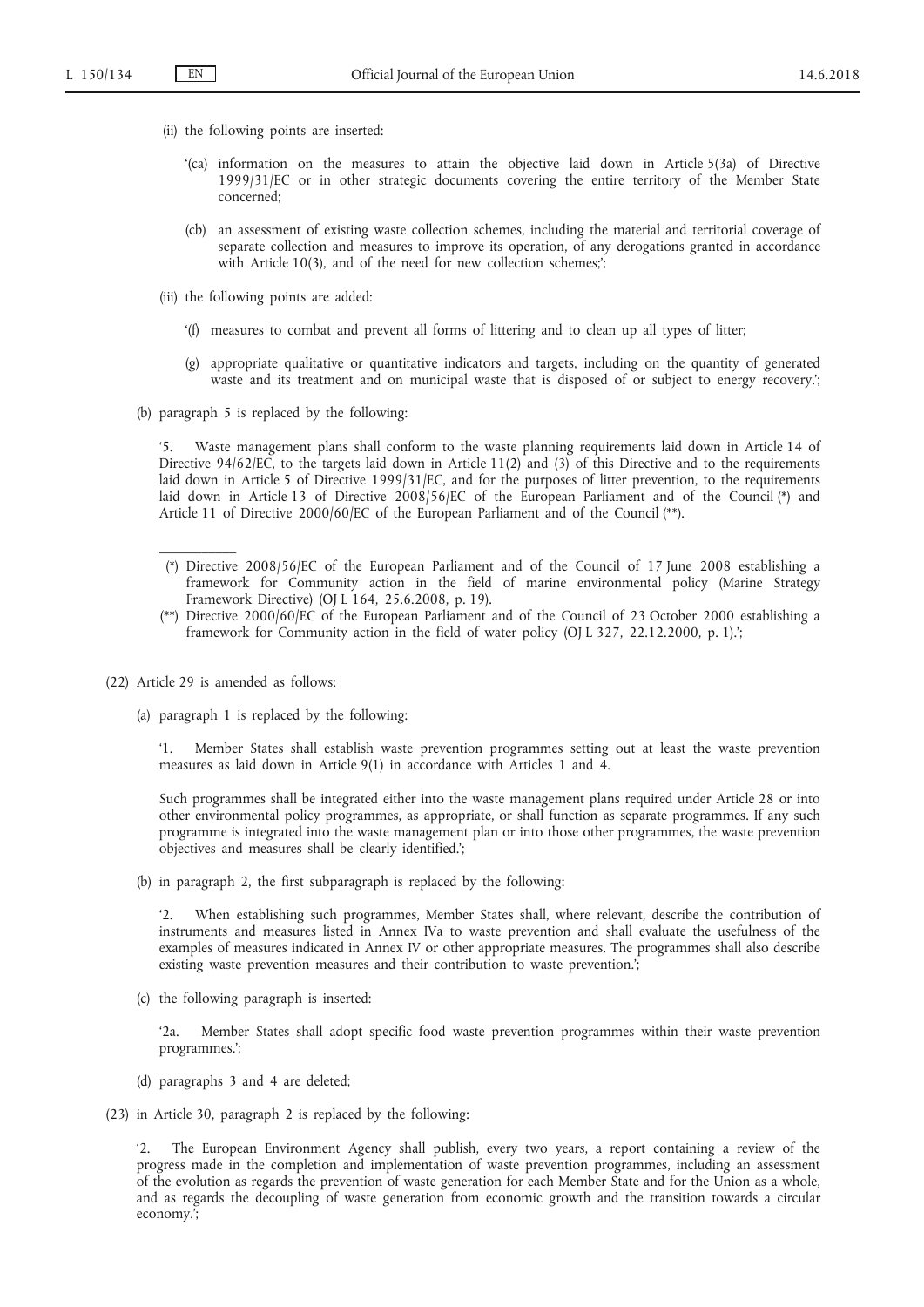- (ii) the following points are inserted:
	- '(ca) information on the measures to attain the objective laid down in Article 5(3a) of Directive 1999/31/EC or in other strategic documents covering the entire territory of the Member State concerned;
	- (cb) an assessment of existing waste collection schemes, including the material and territorial coverage of separate collection and measures to improve its operation, of any derogations granted in accordance with Article 10(3), and of the need for new collection schemes;';
- (iii) the following points are added:
	- '(f) measures to combat and prevent all forms of littering and to clean up all types of litter;
	- (g) appropriate qualitative or quantitative indicators and targets, including on the quantity of generated waste and its treatment and on municipal waste that is disposed of or subject to energy recovery.';
- (b) paragraph 5 is replaced by the following:

'5. Waste management plans shall conform to the waste planning requirements laid down in Article 14 of Directive 94/62/EC, to the targets laid down in Article 11(2) and (3) of this Directive and to the requirements laid down in Article 5 of Directive 1999/31/EC, and for the purposes of litter prevention, to the requirements laid down in Article 13 of Directive 2008/56/EC of the European Parliament and of the Council (\*) and Article 11 of Directive 2000/60/EC of the European Parliament and of the Council (\*\*).

- (\*) Directive 2008/56/EC of the European Parliament and of the Council of 17 June 2008 establishing a framework for Community action in the field of marine environmental policy (Marine Strategy Framework Directive) (OJ L 164, 25.6.2008, p. 19).
- (\*\*) Directive 2000/60/EC of the European Parliament and of the Council of 23 October 2000 establishing a framework for Community action in the field of water policy (OJ L 327, 22.12.2000, p. 1).';
- (22) Article 29 is amended as follows:

 $\mathcal{L}=\mathcal{L}$ 

(a) paragraph 1 is replaced by the following:

'1. Member States shall establish waste prevention programmes setting out at least the waste prevention measures as laid down in Article 9(1) in accordance with Articles 1 and 4.

Such programmes shall be integrated either into the waste management plans required under Article 28 or into other environmental policy programmes, as appropriate, or shall function as separate programmes. If any such programme is integrated into the waste management plan or into those other programmes, the waste prevention objectives and measures shall be clearly identified.';

(b) in paragraph 2, the first subparagraph is replaced by the following:

'2. When establishing such programmes, Member States shall, where relevant, describe the contribution of instruments and measures listed in Annex IVa to waste prevention and shall evaluate the usefulness of the examples of measures indicated in Annex IV or other appropriate measures. The programmes shall also describe existing waste prevention measures and their contribution to waste prevention.';

(c) the following paragraph is inserted:

'2a. Member States shall adopt specific food waste prevention programmes within their waste prevention programmes.';

- (d) paragraphs 3 and 4 are deleted;
- (23) in Article 30, paragraph 2 is replaced by the following:

'2. The European Environment Agency shall publish, every two years, a report containing a review of the progress made in the completion and implementation of waste prevention programmes, including an assessment of the evolution as regards the prevention of waste generation for each Member State and for the Union as a whole, and as regards the decoupling of waste generation from economic growth and the transition towards a circular economy.';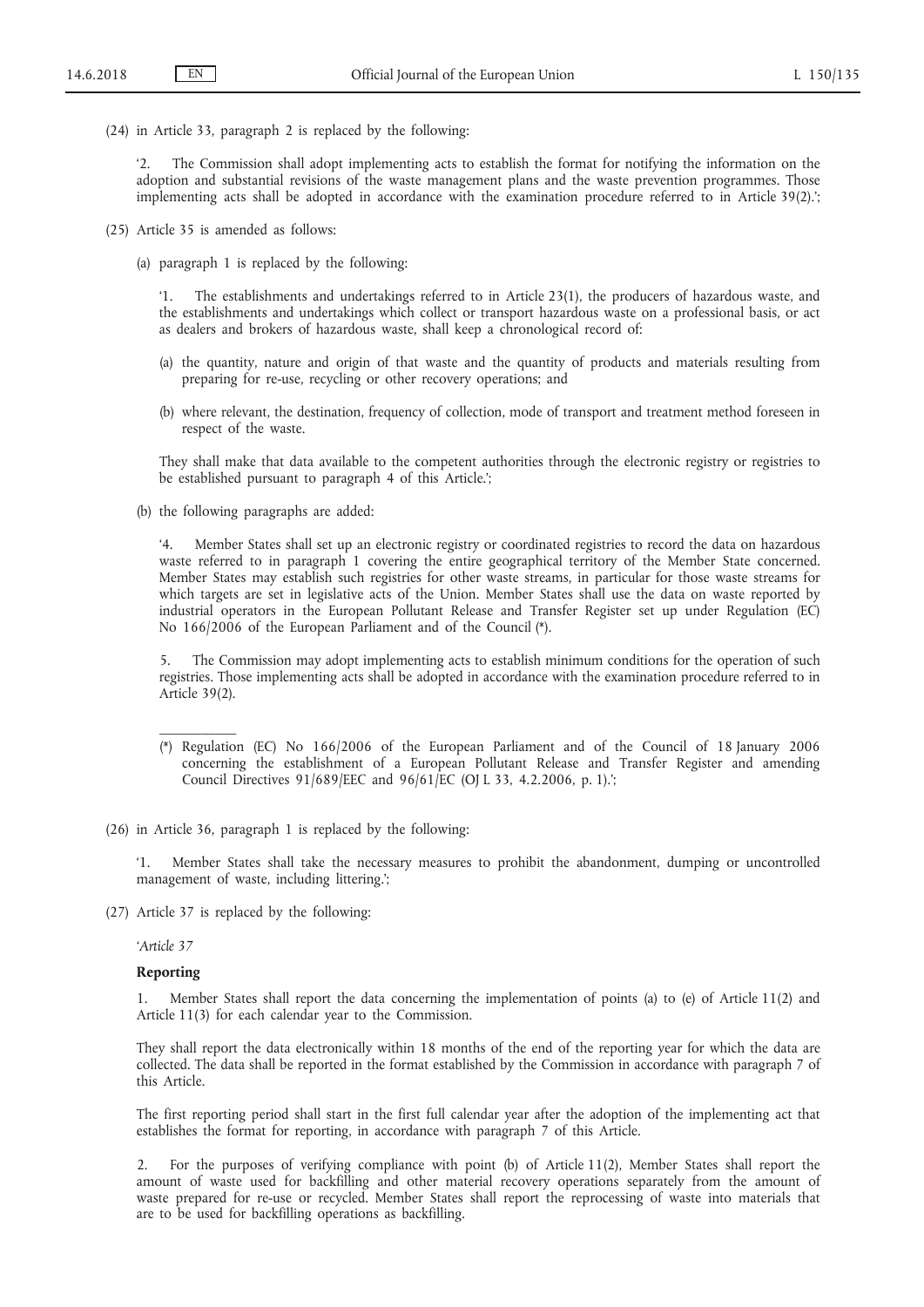(24) in Article 33, paragraph 2 is replaced by the following:

'2. The Commission shall adopt implementing acts to establish the format for notifying the information on the adoption and substantial revisions of the waste management plans and the waste prevention programmes. Those implementing acts shall be adopted in accordance with the examination procedure referred to in Article 39(2).';

- (25) Article 35 is amended as follows:
	- (a) paragraph 1 is replaced by the following:

'1. The establishments and undertakings referred to in Article 23(1), the producers of hazardous waste, and the establishments and undertakings which collect or transport hazardous waste on a professional basis, or act as dealers and brokers of hazardous waste, shall keep a chronological record of:

- (a) the quantity, nature and origin of that waste and the quantity of products and materials resulting from preparing for re-use, recycling or other recovery operations; and
- (b) where relevant, the destination, frequency of collection, mode of transport and treatment method foreseen in respect of the waste.

They shall make that data available to the competent authorities through the electronic registry or registries to be established pursuant to paragraph 4 of this Article.';

(b) the following paragraphs are added:

'4. Member States shall set up an electronic registry or coordinated registries to record the data on hazardous waste referred to in paragraph 1 covering the entire geographical territory of the Member State concerned. Member States may establish such registries for other waste streams, in particular for those waste streams for which targets are set in legislative acts of the Union. Member States shall use the data on waste reported by industrial operators in the European Pollutant Release and Transfer Register set up under Regulation (EC) No 166/2006 of the European Parliament and of the Council (\*).

5. The Commission may adopt implementing acts to establish minimum conditions for the operation of such registries. Those implementing acts shall be adopted in accordance with the examination procedure referred to in Article 39(2).

- (\*) Regulation (EC) No 166/2006 of the European Parliament and of the Council of 18 January 2006 concerning the establishment of a European Pollutant Release and Transfer Register and amending Council Directives 91/689/EEC and 96/61/EC (OJ L 33, 4.2.2006, p. 1).';
- (26) in Article 36, paragraph 1 is replaced by the following:

'1. Member States shall take the necessary measures to prohibit the abandonment, dumping or uncontrolled management of waste, including littering.';

(27) Article 37 is replaced by the following:

*'Article 37*

 $\mathcal{L}=\mathcal{L}$ 

### **Reporting**

1. Member States shall report the data concerning the implementation of points (a) to (e) of Article 11(2) and Article 11(3) for each calendar year to the Commission.

They shall report the data electronically within 18 months of the end of the reporting year for which the data are collected. The data shall be reported in the format established by the Commission in accordance with paragraph 7 of this Article.

The first reporting period shall start in the first full calendar year after the adoption of the implementing act that establishes the format for reporting, in accordance with paragraph 7 of this Article.

2. For the purposes of verifying compliance with point (b) of Article 11(2), Member States shall report the amount of waste used for backfilling and other material recovery operations separately from the amount of waste prepared for re-use or recycled. Member States shall report the reprocessing of waste into materials that are to be used for backfilling operations as backfilling.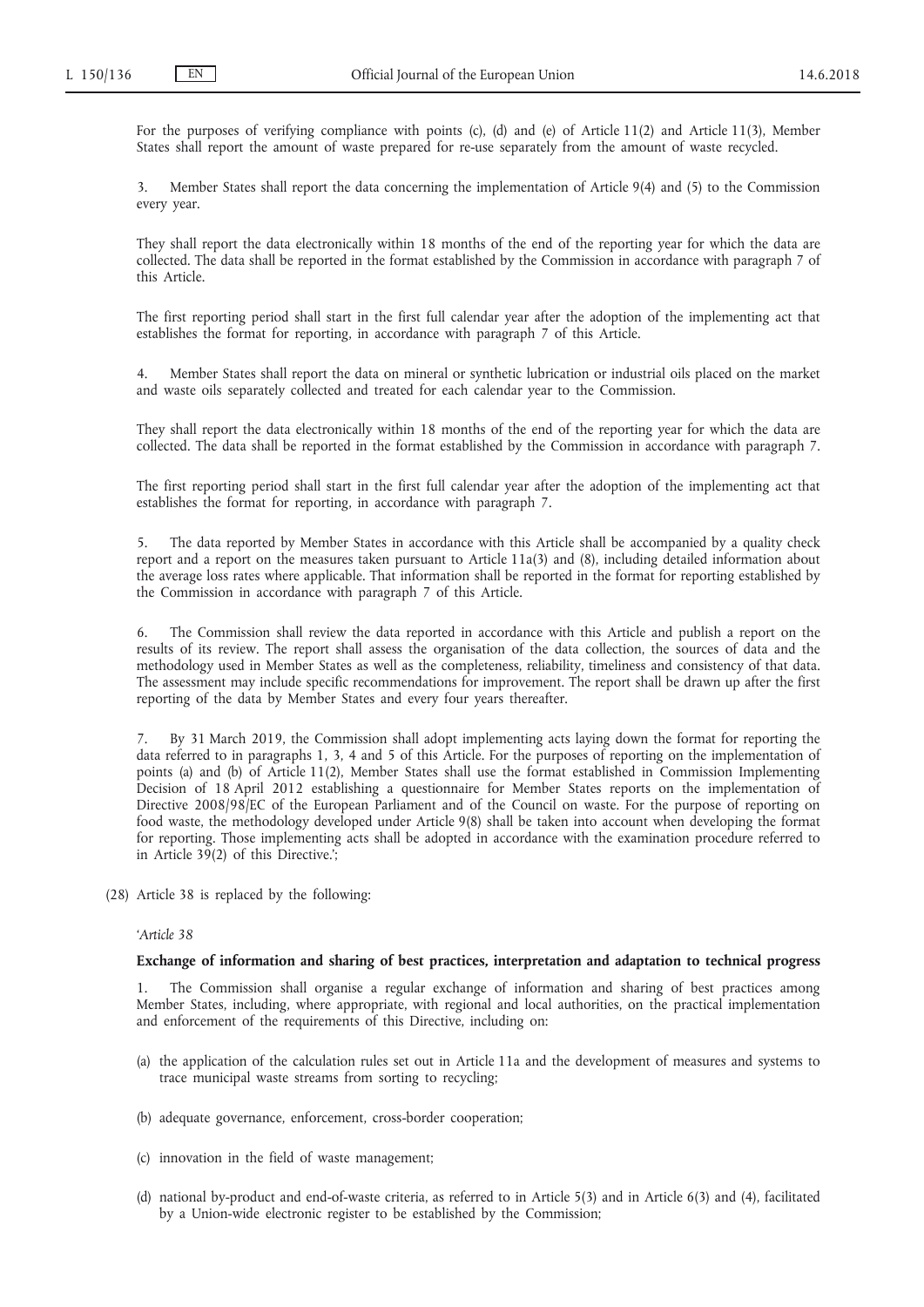For the purposes of verifying compliance with points (c), (d) and (e) of Article 11(2) and Article 11(3), Member States shall report the amount of waste prepared for re-use separately from the amount of waste recycled.

3. Member States shall report the data concerning the implementation of Article 9(4) and (5) to the Commission every year.

They shall report the data electronically within 18 months of the end of the reporting year for which the data are collected. The data shall be reported in the format established by the Commission in accordance with paragraph 7 of this Article.

The first reporting period shall start in the first full calendar year after the adoption of the implementing act that establishes the format for reporting, in accordance with paragraph 7 of this Article.

4. Member States shall report the data on mineral or synthetic lubrication or industrial oils placed on the market and waste oils separately collected and treated for each calendar year to the Commission.

They shall report the data electronically within 18 months of the end of the reporting year for which the data are collected. The data shall be reported in the format established by the Commission in accordance with paragraph 7.

The first reporting period shall start in the first full calendar year after the adoption of the implementing act that establishes the format for reporting, in accordance with paragraph 7.

5. The data reported by Member States in accordance with this Article shall be accompanied by a quality check report and a report on the measures taken pursuant to Article 11a(3) and (8), including detailed information about the average loss rates where applicable. That information shall be reported in the format for reporting established by the Commission in accordance with paragraph 7 of this Article.

6. The Commission shall review the data reported in accordance with this Article and publish a report on the results of its review. The report shall assess the organisation of the data collection, the sources of data and the methodology used in Member States as well as the completeness, reliability, timeliness and consistency of that data. The assessment may include specific recommendations for improvement. The report shall be drawn up after the first reporting of the data by Member States and every four years thereafter.

7. By 31 March 2019, the Commission shall adopt implementing acts laying down the format for reporting the data referred to in paragraphs 1, 3, 4 and 5 of this Article. For the purposes of reporting on the implementation of points (a) and (b) of Article 11(2), Member States shall use the format established in Commission Implementing Decision of 18 April 2012 establishing a questionnaire for Member States reports on the implementation of Directive 2008/98/EC of the European Parliament and of the Council on waste. For the purpose of reporting on food waste, the methodology developed under Article 9(8) shall be taken into account when developing the format for reporting. Those implementing acts shall be adopted in accordance with the examination procedure referred to in Article 39(2) of this Directive.';

(28) Article 38 is replaced by the following:

### *'Article 38*

## **Exchange of information and sharing of best practices, interpretation and adaptation to technical progress**

The Commission shall organise a regular exchange of information and sharing of best practices among Member States, including, where appropriate, with regional and local authorities, on the practical implementation and enforcement of the requirements of this Directive, including on:

- (a) the application of the calculation rules set out in Article 11a and the development of measures and systems to trace municipal waste streams from sorting to recycling;
- (b) adequate governance, enforcement, cross-border cooperation;
- (c) innovation in the field of waste management;
- (d) national by-product and end-of-waste criteria, as referred to in Article 5(3) and in Article 6(3) and (4), facilitated by a Union-wide electronic register to be established by the Commission;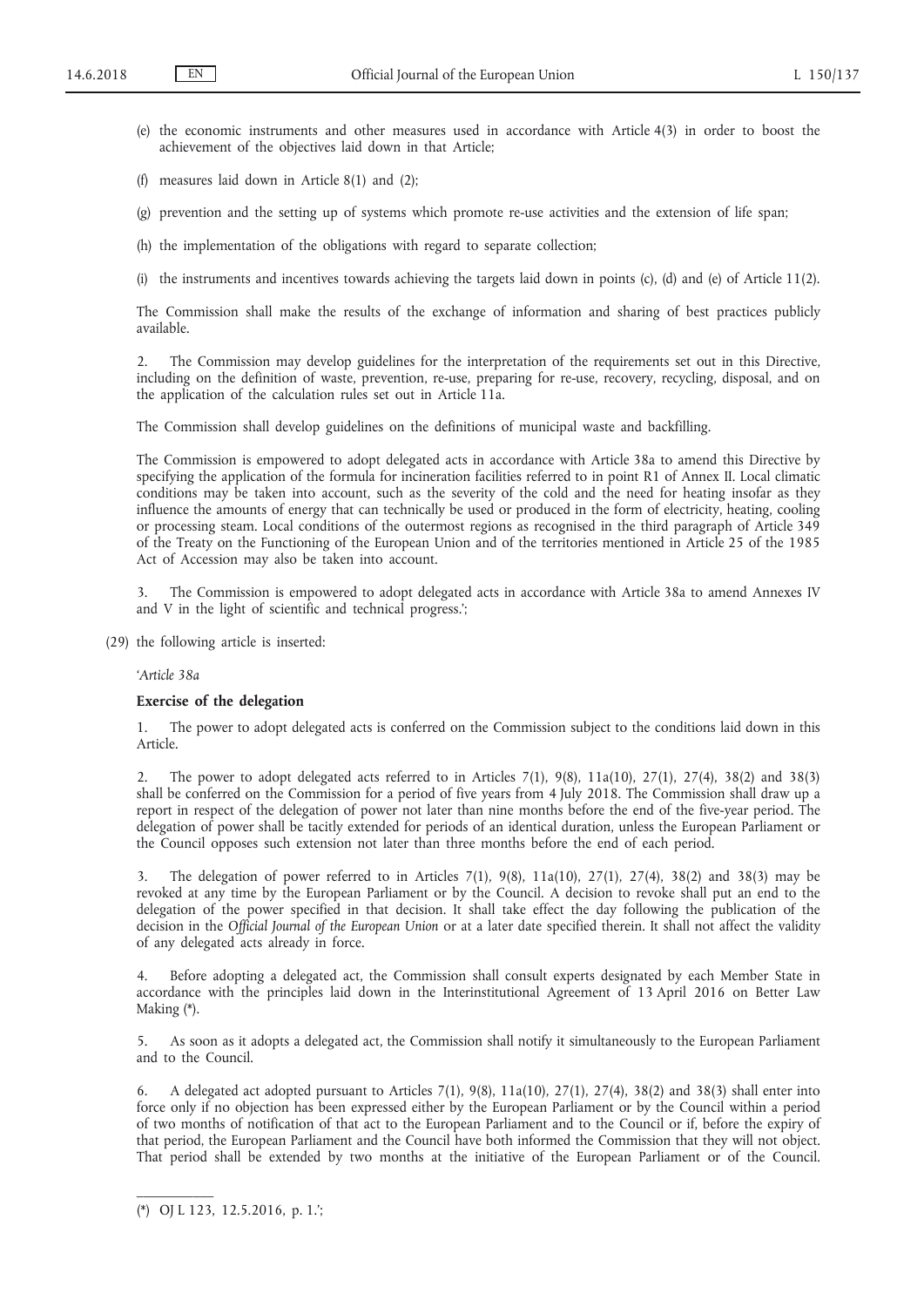- (e) the economic instruments and other measures used in accordance with Article 4(3) in order to boost the achievement of the objectives laid down in that Article;
- (f) measures laid down in Article 8(1) and (2);

(g) prevention and the setting up of systems which promote re-use activities and the extension of life span;

- (h) the implementation of the obligations with regard to separate collection;
- (i) the instruments and incentives towards achieving the targets laid down in points (c), (d) and (e) of Article 11(2).

The Commission shall make the results of the exchange of information and sharing of best practices publicly available.

2. The Commission may develop guidelines for the interpretation of the requirements set out in this Directive, including on the definition of waste, prevention, re-use, preparing for re-use, recovery, recycling, disposal, and on the application of the calculation rules set out in Article 11a.

The Commission shall develop guidelines on the definitions of municipal waste and backfilling.

The Commission is empowered to adopt delegated acts in accordance with Article 38a to amend this Directive by specifying the application of the formula for incineration facilities referred to in point R1 of Annex II. Local climatic conditions may be taken into account, such as the severity of the cold and the need for heating insofar as they influence the amounts of energy that can technically be used or produced in the form of electricity, heating, cooling or processing steam. Local conditions of the outermost regions as recognised in the third paragraph of Article 349 of the Treaty on the Functioning of the European Union and of the territories mentioned in Article 25 of the 1985 Act of Accession may also be taken into account.

The Commission is empowered to adopt delegated acts in accordance with Article 38a to amend Annexes IV and V in the light of scientific and technical progress.';

(29) the following article is inserted:

### *'Article 38a*

#### **Exercise of the delegation**

1. The power to adopt delegated acts is conferred on the Commission subject to the conditions laid down in this Article.

2. The power to adopt delegated acts referred to in Articles 7(1), 9(8), 11a(10), 27(1), 27(4), 38(2) and 38(3) shall be conferred on the Commission for a period of five years from 4 July 2018. The Commission shall draw up a report in respect of the delegation of power not later than nine months before the end of the five-year period. The delegation of power shall be tacitly extended for periods of an identical duration, unless the European Parliament or the Council opposes such extension not later than three months before the end of each period.

3. The delegation of power referred to in Articles 7(1), 9(8), 11a(10), 27(1), 27(4), 38(2) and 38(3) may be revoked at any time by the European Parliament or by the Council. A decision to revoke shall put an end to the delegation of the power specified in that decision. It shall take effect the day following the publication of the decision in the *Official Journal of the European Union* or at a later date specified therein. It shall not affect the validity of any delegated acts already in force.

4. Before adopting a delegated act, the Commission shall consult experts designated by each Member State in accordance with the principles laid down in the Interinstitutional Agreement of 13 April 2016 on Better Law Making (\*).

5. As soon as it adopts a delegated act, the Commission shall notify it simultaneously to the European Parliament and to the Council.

6. A delegated act adopted pursuant to Articles 7(1), 9(8), 11a(10), 27(1), 27(4), 38(2) and 38(3) shall enter into force only if no objection has been expressed either by the European Parliament or by the Council within a period of two months of notification of that act to the European Parliament and to the Council or if, before the expiry of that period, the European Parliament and the Council have both informed the Commission that they will not object. That period shall be extended by two months at the initiative of the European Parliament or of the Council.

<sup>(\*)</sup> OJ L 123, 12.5.2016, p. 1.';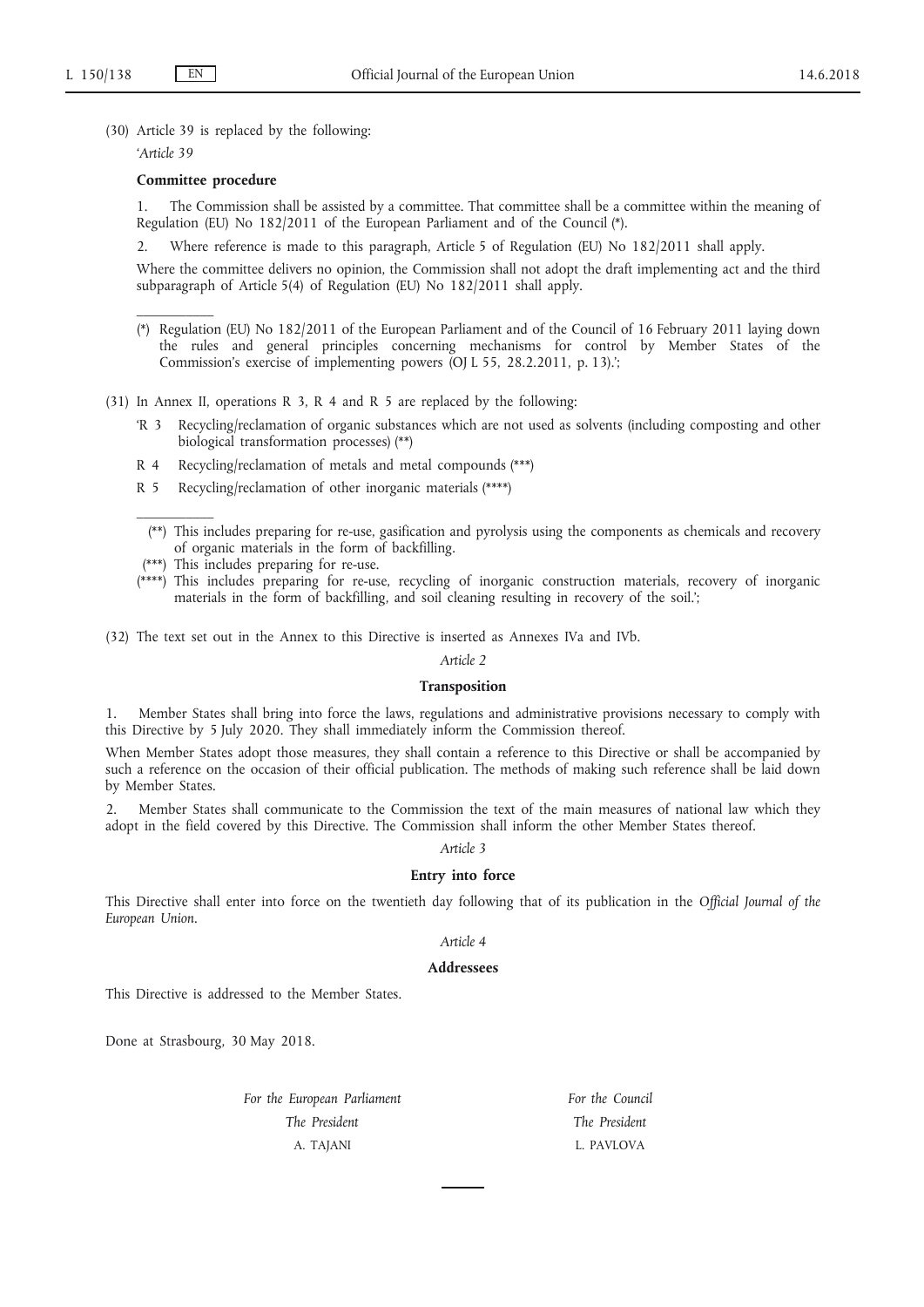(30) Article 39 is replaced by the following:

*'Article 39*

 $\mathcal{L}=\mathcal{L}$ 

 $\mathcal{L}=\mathcal{L}$ 

### **Committee procedure**

1. The Commission shall be assisted by a committee. That committee shall be a committee within the meaning of Regulation (EU) No 182/2011 of the European Parliament and of the Council (\*).

2. Where reference is made to this paragraph, Article 5 of Regulation (EU) No 182/2011 shall apply.

Where the committee delivers no opinion, the Commission shall not adopt the draft implementing act and the third subparagraph of Article 5(4) of Regulation (EU) No 182/2011 shall apply.

- (\*) Regulation (EU) No 182/2011 of the European Parliament and of the Council of 16 February 2011 laying down the rules and general principles concerning mechanisms for control by Member States of the Commission's exercise of implementing powers (OJ L 55, 28.2.2011, p. 13).';
- (31) In Annex II, operations R 3, R 4 and R 5 are replaced by the following:
	- 'R 3 Recycling/reclamation of organic substances which are not used as solvents (including composting and other biological transformation processes) (\*\*)
	- R 4 Recycling/reclamation of metals and metal compounds (\*\*\*)
	- R 5 Recycling/reclamation of other inorganic materials (\*\*\*\*)

(\*\*) This includes preparing for re-use, gasification and pyrolysis using the components as chemicals and recovery of organic materials in the form of backfilling.

- (\*\*\*) This includes preparing for re-use.
- (\*\*\*\*) This includes preparing for re-use, recycling of inorganic construction materials, recovery of inorganic materials in the form of backfilling, and soil cleaning resulting in recovery of the soil.';

(32) The text set out in the Annex to this Directive is inserted as Annexes IVa and IVb.

#### *Article 2*

#### **Transposition**

1. Member States shall bring into force the laws, regulations and administrative provisions necessary to comply with this Directive by 5 July 2020. They shall immediately inform the Commission thereof.

When Member States adopt those measures, they shall contain a reference to this Directive or shall be accompanied by such a reference on the occasion of their official publication. The methods of making such reference shall be laid down by Member States.

2. Member States shall communicate to the Commission the text of the main measures of national law which they adopt in the field covered by this Directive. The Commission shall inform the other Member States thereof.

#### *Article 3*

### **Entry into force**

This Directive shall enter into force on the twentieth day following that of its publication in the *Official Journal of the European Union*.

# *Article 4*

## **Addressees**

This Directive is addressed to the Member States.

Done at Strasbourg, 30 May 2018.

*For the European Parliament The President* A. TAJANI

*For the Council The President* L. PAVLOVA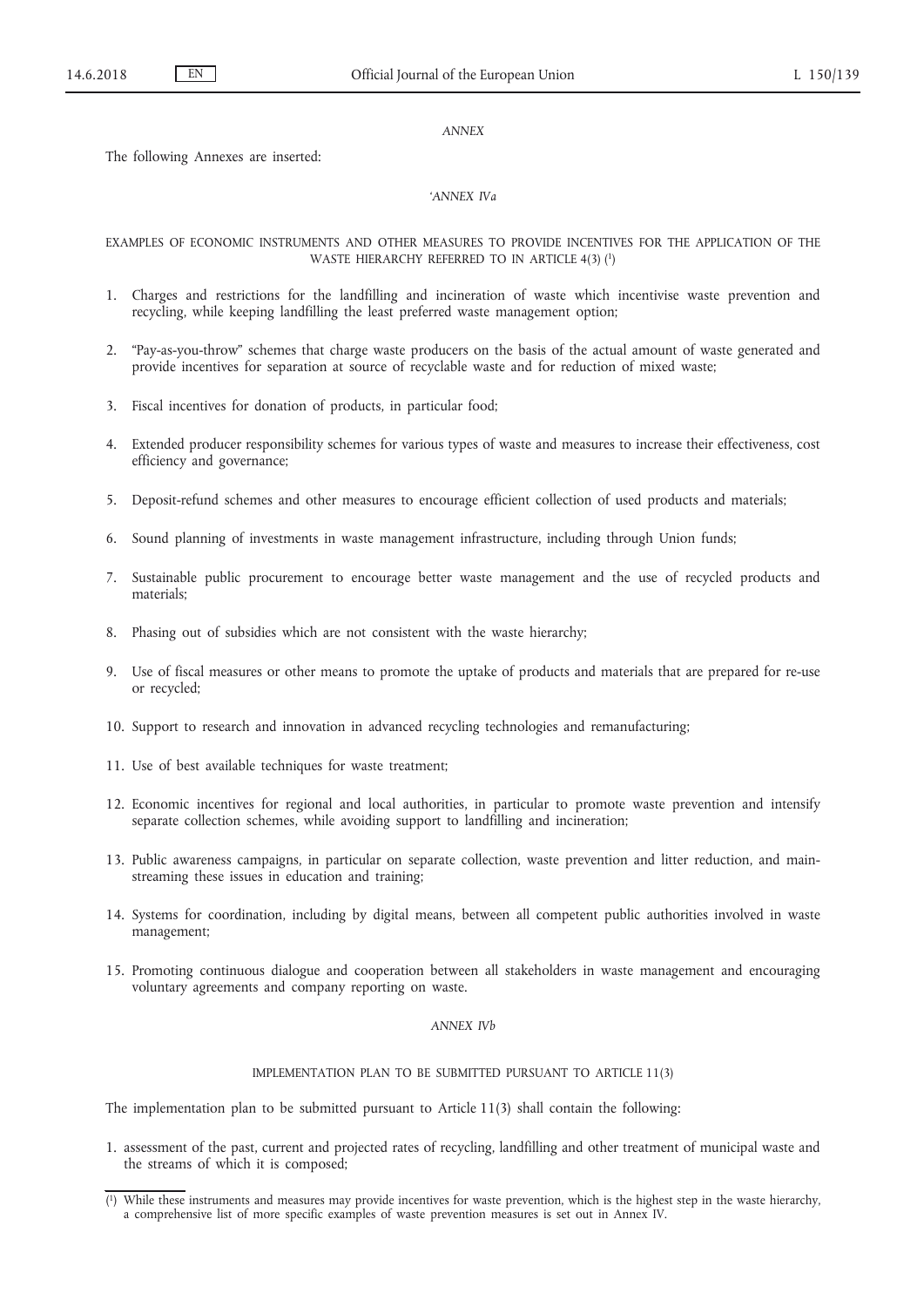#### *ANNEX*

The following Annexes are inserted:

# *'ANNEX IVa*

EXAMPLES OF ECONOMIC INSTRUMENTS AND OTHER MEASURES TO PROVIDE INCENTIVES FOR THE APPLICATION OF THE WASTE HIERARCHY REFERRED TO IN ARTICLE 4(3) <sup>(1</sup>)

- 1. Charges and restrictions for the landfilling and incineration of waste which incentivise waste prevention and recycling, while keeping landfilling the least preferred waste management option;
- 2. "Pay-as-you-throw" schemes that charge waste producers on the basis of the actual amount of waste generated and provide incentives for separation at source of recyclable waste and for reduction of mixed waste;
- 3. Fiscal incentives for donation of products, in particular food;
- 4. Extended producer responsibility schemes for various types of waste and measures to increase their effectiveness, cost efficiency and governance;
- 5. Deposit-refund schemes and other measures to encourage efficient collection of used products and materials;
- 6. Sound planning of investments in waste management infrastructure, including through Union funds;
- 7. Sustainable public procurement to encourage better waste management and the use of recycled products and materials;
- 8. Phasing out of subsidies which are not consistent with the waste hierarchy;
- 9. Use of fiscal measures or other means to promote the uptake of products and materials that are prepared for re-use or recycled;
- 10. Support to research and innovation in advanced recycling technologies and remanufacturing;
- 11. Use of best available techniques for waste treatment;
- 12. Economic incentives for regional and local authorities, in particular to promote waste prevention and intensify separate collection schemes, while avoiding support to landfilling and incineration;
- 13. Public awareness campaigns, in particular on separate collection, waste prevention and litter reduction, and mainstreaming these issues in education and training;
- 14. Systems for coordination, including by digital means, between all competent public authorities involved in waste management;
- 15. Promoting continuous dialogue and cooperation between all stakeholders in waste management and encouraging voluntary agreements and company reporting on waste.

#### *ANNEX IVb*

#### IMPLEMENTATION PLAN TO BE SUBMITTED PURSUANT TO ARTICLE 11(3)

The implementation plan to be submitted pursuant to Article 11(3) shall contain the following:

1. assessment of the past, current and projected rates of recycling, landfilling and other treatment of municipal waste and the streams of which it is composed;

<sup>(</sup> 1) While these instruments and measures may provide incentives for waste prevention, which is the highest step in the waste hierarchy, a comprehensive list of more specific examples of waste prevention measures is set out in Annex IV.